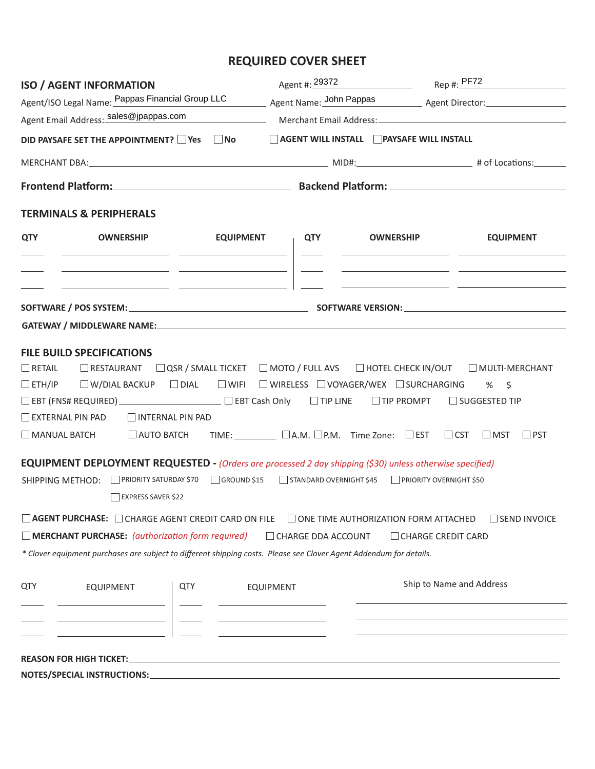# **REQUIRED COVER SHEET**

| <b>ISO / AGENT INFORMATION</b>                                                                                                                                                                                                                                                                                                                                                                                                                                                                                                                                                                                                                                                                                                                                                                                                                                                                                                                                                                                                                                                                                     |                                                                          |                                                                                          |                                                                              | Agent #: 29372 Rep #: PF72 |  |  |  |  |
|--------------------------------------------------------------------------------------------------------------------------------------------------------------------------------------------------------------------------------------------------------------------------------------------------------------------------------------------------------------------------------------------------------------------------------------------------------------------------------------------------------------------------------------------------------------------------------------------------------------------------------------------------------------------------------------------------------------------------------------------------------------------------------------------------------------------------------------------------------------------------------------------------------------------------------------------------------------------------------------------------------------------------------------------------------------------------------------------------------------------|--------------------------------------------------------------------------|------------------------------------------------------------------------------------------|------------------------------------------------------------------------------|----------------------------|--|--|--|--|
|                                                                                                                                                                                                                                                                                                                                                                                                                                                                                                                                                                                                                                                                                                                                                                                                                                                                                                                                                                                                                                                                                                                    |                                                                          | Agent/ISO Legal Name: Pappas Financial Group LLC Agent Name: John Pappas Agent Director: |                                                                              |                            |  |  |  |  |
|                                                                                                                                                                                                                                                                                                                                                                                                                                                                                                                                                                                                                                                                                                                                                                                                                                                                                                                                                                                                                                                                                                                    |                                                                          |                                                                                          |                                                                              |                            |  |  |  |  |
| DID PAYSAFE SET THE APPOINTMENT? □ Yes □ No                                                                                                                                                                                                                                                                                                                                                                                                                                                                                                                                                                                                                                                                                                                                                                                                                                                                                                                                                                                                                                                                        |                                                                          |                                                                                          | AGENT WILL INSTALL PAYSAFE WILL INSTALL                                      |                            |  |  |  |  |
|                                                                                                                                                                                                                                                                                                                                                                                                                                                                                                                                                                                                                                                                                                                                                                                                                                                                                                                                                                                                                                                                                                                    |                                                                          |                                                                                          |                                                                              |                            |  |  |  |  |
|                                                                                                                                                                                                                                                                                                                                                                                                                                                                                                                                                                                                                                                                                                                                                                                                                                                                                                                                                                                                                                                                                                                    |                                                                          | Frontend Platform: Backend Platform: Backend Platform:                                   |                                                                              |                            |  |  |  |  |
| <b>TERMINALS &amp; PERIPHERALS</b>                                                                                                                                                                                                                                                                                                                                                                                                                                                                                                                                                                                                                                                                                                                                                                                                                                                                                                                                                                                                                                                                                 |                                                                          |                                                                                          |                                                                              |                            |  |  |  |  |
| <b>QTY</b><br><b>EQUIPMENT</b><br><b>OWNERSHIP</b>                                                                                                                                                                                                                                                                                                                                                                                                                                                                                                                                                                                                                                                                                                                                                                                                                                                                                                                                                                                                                                                                 |                                                                          | <b>QTY</b>                                                                               | <b>OWNERSHIP</b><br><u> 1980 - Johann Harrison, fransk politik (d. 1980)</u> | <b>EQUIPMENT</b>           |  |  |  |  |
| <u> 2000 - Jan James James Jan James James Jan James James Jan James James Jan James James Jan Jan James James J</u><br><u> 1999 - Johann Harry Harry Harry Harry Harry Harry Harry Harry Harry Harry Harry Harry Harry Harry Harry Harry H</u>                                                                                                                                                                                                                                                                                                                                                                                                                                                                                                                                                                                                                                                                                                                                                                                                                                                                    |                                                                          |                                                                                          |                                                                              |                            |  |  |  |  |
|                                                                                                                                                                                                                                                                                                                                                                                                                                                                                                                                                                                                                                                                                                                                                                                                                                                                                                                                                                                                                                                                                                                    |                                                                          |                                                                                          |                                                                              |                            |  |  |  |  |
|                                                                                                                                                                                                                                                                                                                                                                                                                                                                                                                                                                                                                                                                                                                                                                                                                                                                                                                                                                                                                                                                                                                    |                                                                          |                                                                                          |                                                                              |                            |  |  |  |  |
| <b>FILE BUILD SPECIFICATIONS</b><br>$\Box$ RETAIL<br>□ RESTAURANT □ QSR / SMALL TICKET □ MOTO / FULL AVS □ HOTEL CHECK IN/OUT □ MULTI-MERCHANT<br>□ ETH/IP   □ W/DIAL BACKUP   □ DIAL   □ WIFL   □ WIRELESS  □ VOYAGER/WEX  □ SURCHARGING   %   \$<br>□ EBT (FNS# REQUIRED) _______________________ □ EBT Cash Only □ TIP LINE □ TIP PROMPT □ SUGGESTED TIP<br>$\Box$ EXTERNAL PIN PAD $\Box$ INTERNAL PIN PAD<br>□ MANUAL BATCH  □ AUTO BATCH TIME: UA.M. OP.M. Time Zone: □ EST □ CST □ MST<br>$\Box$ PST<br><b>EQUIPMENT DEPLOYMENT REQUESTED - (Orders are processed 2 day shipping (\$30) unless otherwise specified)</b><br>SHIPPING METHOD: □ PRIORITY SATURDAY \$70 □ GROUND \$15 □ STANDARD OVERNIGHT \$45 □ PRIORITY OVERNIGHT \$50<br>EXPRESS SAVER \$22<br>□ AGENT PURCHASE: □ CHARGE AGENT CREDIT CARD ON FILE □ ONE TIME AUTHORIZATION FORM ATTACHED<br>SEND INVOICE<br>$\Box$ MERCHANT PURCHASE: (authorization form required)<br>CHARGE DDA ACCOUNT<br>□ CHARGE CREDIT CARD<br>* Clover equipment purchases are subject to different shipping costs. Please see Clover Agent Addendum for details. |                                                                          |                                                                                          |                                                                              |                            |  |  |  |  |
| QTY<br>QTY<br><b>EQUIPMENT</b><br><u> 1989 - Johann Barn, fransk politik (</u>                                                                                                                                                                                                                                                                                                                                                                                                                                                                                                                                                                                                                                                                                                                                                                                                                                                                                                                                                                                                                                     | <b>EQUIPMENT</b><br><u> 1989 - Johann Barn, fransk politik (d. 1989)</u> |                                                                                          |                                                                              | Ship to Name and Address   |  |  |  |  |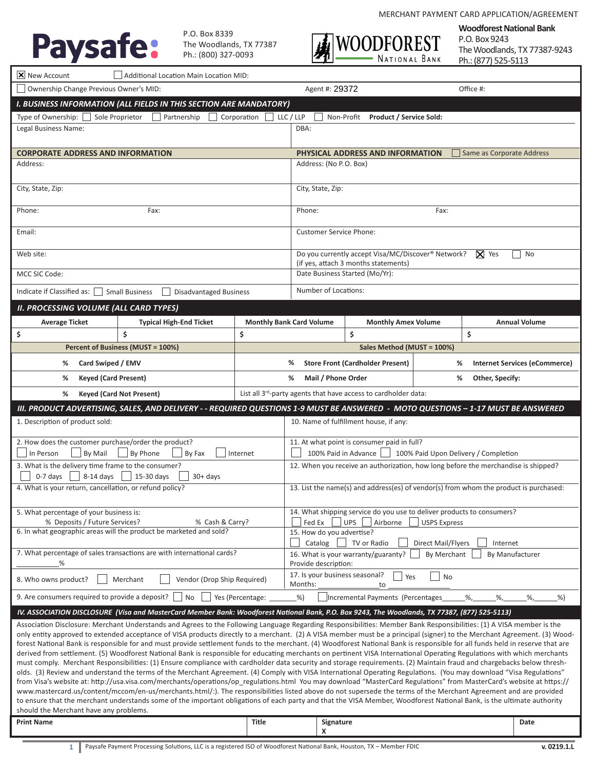

P.O. Box 8339 The Woodlands, TX 77387 Ph.: (800) 327‐0093



**Woodforest National Bank** P.O. Box 9243 The Woodlands, TX 77387-9243 Ph.: (877) 525-5113

| $ \mathsf{X} $ New Account<br>Additional Location Main Location MID:                                                                                                                                                                                                                                                                                                                                                                                                                                                                                                                                                                                                                                                                                                                                                                                                                                                                                                                                                                                                                                                                                                                                                                                                                                                                                                                                                                                                                                                                                                                                                         |                                                                                                                                    |                                                                     |                                                                                                                                |                                         |  |                                                                                    |  |  |
|------------------------------------------------------------------------------------------------------------------------------------------------------------------------------------------------------------------------------------------------------------------------------------------------------------------------------------------------------------------------------------------------------------------------------------------------------------------------------------------------------------------------------------------------------------------------------------------------------------------------------------------------------------------------------------------------------------------------------------------------------------------------------------------------------------------------------------------------------------------------------------------------------------------------------------------------------------------------------------------------------------------------------------------------------------------------------------------------------------------------------------------------------------------------------------------------------------------------------------------------------------------------------------------------------------------------------------------------------------------------------------------------------------------------------------------------------------------------------------------------------------------------------------------------------------------------------------------------------------------------------|------------------------------------------------------------------------------------------------------------------------------------|---------------------------------------------------------------------|--------------------------------------------------------------------------------------------------------------------------------|-----------------------------------------|--|------------------------------------------------------------------------------------|--|--|
| Ownership Change Previous Owner's MID:                                                                                                                                                                                                                                                                                                                                                                                                                                                                                                                                                                                                                                                                                                                                                                                                                                                                                                                                                                                                                                                                                                                                                                                                                                                                                                                                                                                                                                                                                                                                                                                       |                                                                                                                                    |                                                                     | Agent #: 29372                                                                                                                 |                                         |  | Office #:                                                                          |  |  |
| I. BUSINESS INFORMATION (ALL FIELDS IN THIS SECTION ARE MANDATORY)                                                                                                                                                                                                                                                                                                                                                                                                                                                                                                                                                                                                                                                                                                                                                                                                                                                                                                                                                                                                                                                                                                                                                                                                                                                                                                                                                                                                                                                                                                                                                           |                                                                                                                                    |                                                                     |                                                                                                                                |                                         |  |                                                                                    |  |  |
| Type of Ownership: □ Sole Proprietor<br>Partnership<br>LLC / LLP<br>Corporation<br>Non-Profit<br><b>Product / Service Sold:</b>                                                                                                                                                                                                                                                                                                                                                                                                                                                                                                                                                                                                                                                                                                                                                                                                                                                                                                                                                                                                                                                                                                                                                                                                                                                                                                                                                                                                                                                                                              |                                                                                                                                    |                                                                     |                                                                                                                                |                                         |  |                                                                                    |  |  |
| Legal Business Name:                                                                                                                                                                                                                                                                                                                                                                                                                                                                                                                                                                                                                                                                                                                                                                                                                                                                                                                                                                                                                                                                                                                                                                                                                                                                                                                                                                                                                                                                                                                                                                                                         |                                                                                                                                    |                                                                     | DBA:                                                                                                                           |                                         |  |                                                                                    |  |  |
| <b>CORPORATE ADDRESS AND INFORMATION</b>                                                                                                                                                                                                                                                                                                                                                                                                                                                                                                                                                                                                                                                                                                                                                                                                                                                                                                                                                                                                                                                                                                                                                                                                                                                                                                                                                                                                                                                                                                                                                                                     |                                                                                                                                    |                                                                     | PHYSICAL ADDRESS AND INFORMATION<br>Same as Corporate Address                                                                  |                                         |  |                                                                                    |  |  |
| Address:                                                                                                                                                                                                                                                                                                                                                                                                                                                                                                                                                                                                                                                                                                                                                                                                                                                                                                                                                                                                                                                                                                                                                                                                                                                                                                                                                                                                                                                                                                                                                                                                                     |                                                                                                                                    |                                                                     | Address: (No P.O. Box)                                                                                                         |                                         |  |                                                                                    |  |  |
| City, State, Zip:                                                                                                                                                                                                                                                                                                                                                                                                                                                                                                                                                                                                                                                                                                                                                                                                                                                                                                                                                                                                                                                                                                                                                                                                                                                                                                                                                                                                                                                                                                                                                                                                            |                                                                                                                                    |                                                                     | City, State, Zip:                                                                                                              |                                         |  |                                                                                    |  |  |
| Phone:                                                                                                                                                                                                                                                                                                                                                                                                                                                                                                                                                                                                                                                                                                                                                                                                                                                                                                                                                                                                                                                                                                                                                                                                                                                                                                                                                                                                                                                                                                                                                                                                                       | Fax:                                                                                                                               |                                                                     | Phone:<br>Fax:                                                                                                                 |                                         |  |                                                                                    |  |  |
| Email:                                                                                                                                                                                                                                                                                                                                                                                                                                                                                                                                                                                                                                                                                                                                                                                                                                                                                                                                                                                                                                                                                                                                                                                                                                                                                                                                                                                                                                                                                                                                                                                                                       |                                                                                                                                    |                                                                     | <b>Customer Service Phone:</b><br>Do you currently accept Visa/MC/Discover® Network?                                           |                                         |  |                                                                                    |  |  |
| Web site:                                                                                                                                                                                                                                                                                                                                                                                                                                                                                                                                                                                                                                                                                                                                                                                                                                                                                                                                                                                                                                                                                                                                                                                                                                                                                                                                                                                                                                                                                                                                                                                                                    |                                                                                                                                    |                                                                     |                                                                                                                                | (if yes, attach 3 months statements)    |  | $\mathbf{X}$ Yes<br>No                                                             |  |  |
| MCC SIC Code:                                                                                                                                                                                                                                                                                                                                                                                                                                                                                                                                                                                                                                                                                                                                                                                                                                                                                                                                                                                                                                                                                                                                                                                                                                                                                                                                                                                                                                                                                                                                                                                                                |                                                                                                                                    |                                                                     | Date Business Started (Mo/Yr):                                                                                                 |                                         |  |                                                                                    |  |  |
| Indicate if Classified as: $\Box$                                                                                                                                                                                                                                                                                                                                                                                                                                                                                                                                                                                                                                                                                                                                                                                                                                                                                                                                                                                                                                                                                                                                                                                                                                                                                                                                                                                                                                                                                                                                                                                            | <b>Small Business</b><br><b>Disadvantaged Business</b>                                                                             |                                                                     | Number of Locations:                                                                                                           |                                         |  |                                                                                    |  |  |
| <b>II. PROCESSING VOLUME (ALL CARD TYPES)</b>                                                                                                                                                                                                                                                                                                                                                                                                                                                                                                                                                                                                                                                                                                                                                                                                                                                                                                                                                                                                                                                                                                                                                                                                                                                                                                                                                                                                                                                                                                                                                                                |                                                                                                                                    |                                                                     |                                                                                                                                |                                         |  |                                                                                    |  |  |
| <b>Average Ticket</b>                                                                                                                                                                                                                                                                                                                                                                                                                                                                                                                                                                                                                                                                                                                                                                                                                                                                                                                                                                                                                                                                                                                                                                                                                                                                                                                                                                                                                                                                                                                                                                                                        | <b>Typical High-End Ticket</b>                                                                                                     |                                                                     | <b>Monthly Bank Card Volume</b>                                                                                                | <b>Monthly Amex Volume</b>              |  | <b>Annual Volume</b>                                                               |  |  |
| \$                                                                                                                                                                                                                                                                                                                                                                                                                                                                                                                                                                                                                                                                                                                                                                                                                                                                                                                                                                                                                                                                                                                                                                                                                                                                                                                                                                                                                                                                                                                                                                                                                           | \$                                                                                                                                 | \$                                                                  |                                                                                                                                | \$                                      |  | \$                                                                                 |  |  |
|                                                                                                                                                                                                                                                                                                                                                                                                                                                                                                                                                                                                                                                                                                                                                                                                                                                                                                                                                                                                                                                                                                                                                                                                                                                                                                                                                                                                                                                                                                                                                                                                                              | Percent of Business (MUST = 100%)                                                                                                  |                                                                     |                                                                                                                                | Sales Method (MUST = 100%)              |  |                                                                                    |  |  |
| Card Swiped / EMV<br>%                                                                                                                                                                                                                                                                                                                                                                                                                                                                                                                                                                                                                                                                                                                                                                                                                                                                                                                                                                                                                                                                                                                                                                                                                                                                                                                                                                                                                                                                                                                                                                                                       |                                                                                                                                    |                                                                     | %                                                                                                                              | <b>Store Front (Cardholder Present)</b> |  | %<br><b>Internet Services (eCommerce)</b>                                          |  |  |
| <b>Keyed (Card Present)</b><br>%                                                                                                                                                                                                                                                                                                                                                                                                                                                                                                                                                                                                                                                                                                                                                                                                                                                                                                                                                                                                                                                                                                                                                                                                                                                                                                                                                                                                                                                                                                                                                                                             |                                                                                                                                    |                                                                     | %<br>Mail / Phone Order<br>Other, Specify:<br>%<br>List all 3 <sup>rd</sup> -party agents that have access to cardholder data: |                                         |  |                                                                                    |  |  |
| ℅                                                                                                                                                                                                                                                                                                                                                                                                                                                                                                                                                                                                                                                                                                                                                                                                                                                                                                                                                                                                                                                                                                                                                                                                                                                                                                                                                                                                                                                                                                                                                                                                                            | <b>Keyed (Card Not Present)</b>                                                                                                    |                                                                     |                                                                                                                                |                                         |  |                                                                                    |  |  |
|                                                                                                                                                                                                                                                                                                                                                                                                                                                                                                                                                                                                                                                                                                                                                                                                                                                                                                                                                                                                                                                                                                                                                                                                                                                                                                                                                                                                                                                                                                                                                                                                                              | III. PRODUCT ADVERTISING, SALES, AND DELIVERY - - REQUIRED QUESTIONS 1-9 MUST BE ANSWERED - MOTO QUESTIONS - 1-17 MUST BE ANSWERED |                                                                     |                                                                                                                                |                                         |  |                                                                                    |  |  |
| 1. Description of product sold:                                                                                                                                                                                                                                                                                                                                                                                                                                                                                                                                                                                                                                                                                                                                                                                                                                                                                                                                                                                                                                                                                                                                                                                                                                                                                                                                                                                                                                                                                                                                                                                              |                                                                                                                                    |                                                                     |                                                                                                                                | 10. Name of fulfillment house, if any:  |  |                                                                                    |  |  |
| 2. How does the customer purchase/order the product?<br>In Person<br>By Mail                                                                                                                                                                                                                                                                                                                                                                                                                                                                                                                                                                                                                                                                                                                                                                                                                                                                                                                                                                                                                                                                                                                                                                                                                                                                                                                                                                                                                                                                                                                                                 |                                                                                                                                    | 11. At what point is consumer paid in full?<br>100% Paid in Advance |                                                                                                                                | 100% Paid Upon Delivery / Completion    |  |                                                                                    |  |  |
| 3. What is the delivery time frame to the consumer?<br>$0-7$ days<br>8-14 days                                                                                                                                                                                                                                                                                                                                                                                                                                                                                                                                                                                                                                                                                                                                                                                                                                                                                                                                                                                                                                                                                                                                                                                                                                                                                                                                                                                                                                                                                                                                               | 15-30 days<br>$30+$ days                                                                                                           |                                                                     |                                                                                                                                |                                         |  | 12. When you receive an authorization, how long before the merchandise is shipped? |  |  |
| 4. What is your return, cancellation, or refund policy?                                                                                                                                                                                                                                                                                                                                                                                                                                                                                                                                                                                                                                                                                                                                                                                                                                                                                                                                                                                                                                                                                                                                                                                                                                                                                                                                                                                                                                                                                                                                                                      |                                                                                                                                    |                                                                     | 13. List the name(s) and address(es) of vendor(s) from whom the product is purchased:                                          |                                         |  |                                                                                    |  |  |
| 5. What percentage of your business is:<br>% Deposits / Future Services?                                                                                                                                                                                                                                                                                                                                                                                                                                                                                                                                                                                                                                                                                                                                                                                                                                                                                                                                                                                                                                                                                                                                                                                                                                                                                                                                                                                                                                                                                                                                                     | % Cash & Carry?                                                                                                                    |                                                                     | 14. What shipping service do you use to deliver products to consumers?<br>UPS Airborne<br>Fed Ex<br><b>USPS Express</b>        |                                         |  |                                                                                    |  |  |
| 6. In what geographic areas will the product be marketed and sold?                                                                                                                                                                                                                                                                                                                                                                                                                                                                                                                                                                                                                                                                                                                                                                                                                                                                                                                                                                                                                                                                                                                                                                                                                                                                                                                                                                                                                                                                                                                                                           |                                                                                                                                    |                                                                     | 15. How do you advertise?<br>Catalog $\Box$ TV or Radio<br>Direct Mail/Flyers<br>Internet                                      |                                         |  |                                                                                    |  |  |
| 7. What percentage of sales transactions are with international cards?<br>%                                                                                                                                                                                                                                                                                                                                                                                                                                                                                                                                                                                                                                                                                                                                                                                                                                                                                                                                                                                                                                                                                                                                                                                                                                                                                                                                                                                                                                                                                                                                                  |                                                                                                                                    |                                                                     | 16. What is your warranty/guaranty?<br>By Merchant<br>By Manufacturer<br>Provide description:                                  |                                         |  |                                                                                    |  |  |
| 8. Who owns product?<br>Merchant                                                                                                                                                                                                                                                                                                                                                                                                                                                                                                                                                                                                                                                                                                                                                                                                                                                                                                                                                                                                                                                                                                                                                                                                                                                                                                                                                                                                                                                                                                                                                                                             | Vendor (Drop Ship Required)                                                                                                        | 17. Is your business seasonal?<br><b>No</b><br>Yes<br>Months:<br>to |                                                                                                                                |                                         |  |                                                                                    |  |  |
| 9. Are consumers required to provide a deposit?                                                                                                                                                                                                                                                                                                                                                                                                                                                                                                                                                                                                                                                                                                                                                                                                                                                                                                                                                                                                                                                                                                                                                                                                                                                                                                                                                                                                                                                                                                                                                                              | No                                                                                                                                 | Yes (Percentage:                                                    | $\frac{9}{6}$                                                                                                                  | Incremental Payments (Percentages       |  | %,<br>$\%$ ,<br>$\%$ ,<br>%                                                        |  |  |
| IV. ASSOCIATION DISCLOSURE (Visa and MasterCard Member Bank: Woodforest National Bank, P.O. Box 9243, The Woodlands, TX 77387, (877) 525-5113)                                                                                                                                                                                                                                                                                                                                                                                                                                                                                                                                                                                                                                                                                                                                                                                                                                                                                                                                                                                                                                                                                                                                                                                                                                                                                                                                                                                                                                                                               |                                                                                                                                    |                                                                     |                                                                                                                                |                                         |  |                                                                                    |  |  |
| Association Disclosure: Merchant Understands and Agrees to the Following Language Regarding Responsibilities: Member Bank Responsibilities: (1) A VISA member is the<br>only entity approved to extended acceptance of VISA products directly to a merchant. (2) A VISA member must be a principal (signer) to the Merchant Agreement. (3) Wood-<br>forest National Bank is responsible for and must provide settlement funds to the merchant. (4) Woodforest National Bank is responsible for all funds held in reserve that are<br>derived from settlement. (5) Woodforest National Bank is responsible for educating merchants on pertinent VISA International Operating Regulations with which merchants<br>must comply. Merchant Responsibilities: (1) Ensure compliance with cardholder data security and storage requirements. (2) Maintain fraud and chargebacks below thresh-<br>olds. (3) Review and understand the terms of the Merchant Agreement. (4) Comply with VISA International Operating Regulations. (You may download "Visa Regulations"<br>from Visa's website at: http://usa.visa.com/merchants/operations/op_regulations.html You may download "MasterCard Regulations" from MasterCard's website at https://<br>www.mastercard.us/content/mccom/en-us/merchants.html/:). The responsibilities listed above do not supersede the terms of the Merchant Agreement and are provided<br>to ensure that the merchant understands some of the important obligations of each party and that the VISA Member, Woodforest National Bank, is the ultimate authority<br>should the Merchant have any problems. |                                                                                                                                    |                                                                     |                                                                                                                                |                                         |  |                                                                                    |  |  |
| <b>Print Name</b>                                                                                                                                                                                                                                                                                                                                                                                                                                                                                                                                                                                                                                                                                                                                                                                                                                                                                                                                                                                                                                                                                                                                                                                                                                                                                                                                                                                                                                                                                                                                                                                                            |                                                                                                                                    | Title                                                               | Signature<br>x                                                                                                                 |                                         |  | Date                                                                               |  |  |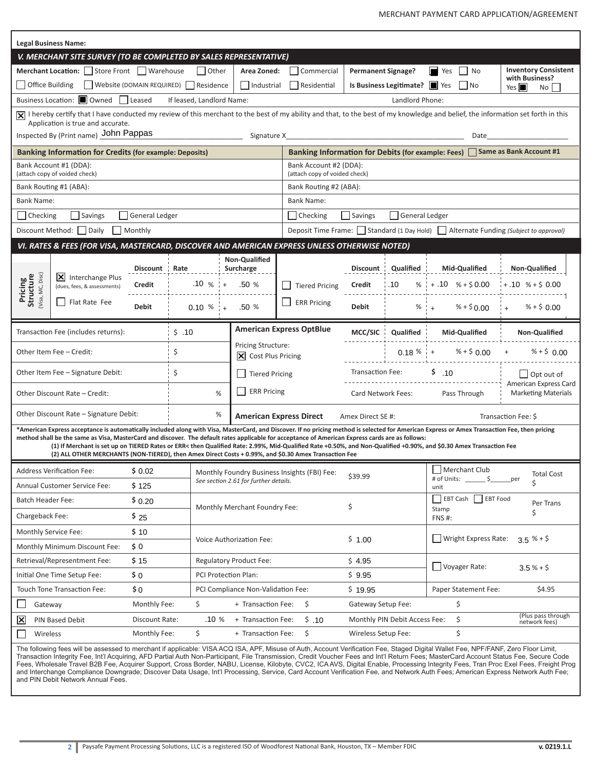| <b>Legal Business Name:</b>                                                                                                                                                                                                                                                                                                                                                                                                                                                                                             |                                                                                                                                                                                                                         |                                                               |        |               |                                       |                                                                                                                |                                                                  |                               |                                                                                   |                                     |  |  |
|-------------------------------------------------------------------------------------------------------------------------------------------------------------------------------------------------------------------------------------------------------------------------------------------------------------------------------------------------------------------------------------------------------------------------------------------------------------------------------------------------------------------------|-------------------------------------------------------------------------------------------------------------------------------------------------------------------------------------------------------------------------|---------------------------------------------------------------|--------|---------------|---------------------------------------|----------------------------------------------------------------------------------------------------------------|------------------------------------------------------------------|-------------------------------|-----------------------------------------------------------------------------------|-------------------------------------|--|--|
| V. MERCHANT SITE SURVEY (TO BE COMPLETED BY SALES REPRESENTATIVE)                                                                                                                                                                                                                                                                                                                                                                                                                                                       |                                                                                                                                                                                                                         |                                                               |        |               |                                       |                                                                                                                |                                                                  |                               |                                                                                   |                                     |  |  |
|                                                                                                                                                                                                                                                                                                                                                                                                                                                                                                                         | Merchant Location: Store Front Warehouse                                                                                                                                                                                |                                                               | Other  | Area Zoned:   | Commercial                            | <b>Permanent Signage?</b>                                                                                      |                                                                  | <b>No</b><br>H<br>Yes         | <b>Inventory Consistent</b>                                                       |                                     |  |  |
| Website (DOMAIN REQUIRED) Residence<br>Office Building<br>$\Box$ Industrial                                                                                                                                                                                                                                                                                                                                                                                                                                             |                                                                                                                                                                                                                         |                                                               |        |               | Residential                           |                                                                                                                | Is Business Legitimate?   Yes                                    | No                            | with Business?<br>Yes $\blacksquare$<br>No l                                      |                                     |  |  |
| Business Location: II Owned<br>$\Box$ Leased<br>If leased, Landlord Name:<br>Landlord Phone:                                                                                                                                                                                                                                                                                                                                                                                                                            |                                                                                                                                                                                                                         |                                                               |        |               |                                       |                                                                                                                |                                                                  |                               |                                                                                   |                                     |  |  |
|                                                                                                                                                                                                                                                                                                                                                                                                                                                                                                                         | X  I hereby certify that I have conducted my review of this merchant to the best of my ability and that, to the best of my knowledge and belief, the information set forth in this<br>Application is true and accurate. |                                                               |        |               |                                       |                                                                                                                |                                                                  |                               |                                                                                   |                                     |  |  |
|                                                                                                                                                                                                                                                                                                                                                                                                                                                                                                                         | Inspected By (Print name) John Pappas                                                                                                                                                                                   |                                                               |        |               |                                       | Signature X and the state of the state of the state of the state of the state of the state of the state of the |                                                                  |                               | Date                                                                              |                                     |  |  |
| Banking Information for Debits (for example: Fees) Same as Bank Account #1<br><b>Banking Information for Credits (for example: Deposits)</b>                                                                                                                                                                                                                                                                                                                                                                            |                                                                                                                                                                                                                         |                                                               |        |               |                                       |                                                                                                                |                                                                  |                               |                                                                                   |                                     |  |  |
|                                                                                                                                                                                                                                                                                                                                                                                                                                                                                                                         | Bank Account #1 (DDA):<br>(attach copy of voided check)                                                                                                                                                                 |                                                               |        |               |                                       |                                                                                                                | Bank Account #2 (DDA):<br>(attach copy of voided check)          |                               |                                                                                   |                                     |  |  |
|                                                                                                                                                                                                                                                                                                                                                                                                                                                                                                                         | Bank Routing #1 (ABA):                                                                                                                                                                                                  |                                                               |        |               |                                       |                                                                                                                | Bank Routing #2 (ABA):                                           |                               |                                                                                   |                                     |  |  |
| Bank Name:                                                                                                                                                                                                                                                                                                                                                                                                                                                                                                              |                                                                                                                                                                                                                         |                                                               |        |               |                                       | Bank Name:                                                                                                     |                                                                  |                               |                                                                                   |                                     |  |  |
| Checking                                                                                                                                                                                                                                                                                                                                                                                                                                                                                                                | Savings                                                                                                                                                                                                                 | General Ledger                                                |        |               |                                       | Checking                                                                                                       | Savings<br>General Ledger                                        |                               |                                                                                   |                                     |  |  |
| Discount Method:                                                                                                                                                                                                                                                                                                                                                                                                                                                                                                        | Daily                                                                                                                                                                                                                   | Monthly                                                       |        |               |                                       |                                                                                                                |                                                                  |                               | Deposit Time Frame: Standard (1 Day Hold) Alternate Funding (Subject to approval) |                                     |  |  |
|                                                                                                                                                                                                                                                                                                                                                                                                                                                                                                                         | VI. RATES & FEES (FOR VISA, MASTERCARD, DISCOVER AND AMERICAN EXPRESS UNLESS OTHERWISE NOTED)                                                                                                                           |                                                               |        |               |                                       |                                                                                                                |                                                                  |                               |                                                                                   |                                     |  |  |
|                                                                                                                                                                                                                                                                                                                                                                                                                                                                                                                         |                                                                                                                                                                                                                         |                                                               |        |               | Non-Qualified                         |                                                                                                                |                                                                  |                               |                                                                                   |                                     |  |  |
|                                                                                                                                                                                                                                                                                                                                                                                                                                                                                                                         | X Interchange Plus                                                                                                                                                                                                      | <b>Discount</b>                                               | Rate   |               | Surcharge                             |                                                                                                                | Discount                                                         | Qualified                     | Mid-Qualified                                                                     | Non-Qualified                       |  |  |
| <b>Pricing<br/>Structure</b><br>(Visa, MC, Disc)                                                                                                                                                                                                                                                                                                                                                                                                                                                                        | (dues, fees, & assessments)                                                                                                                                                                                             | Credit                                                        |        | $.10 \% +$    | .50%                                  | <b>Tiered Pricing</b>                                                                                          | Credit                                                           | .10<br>%                      | $+ .10 \% + $0.00$                                                                | $+.10$ % + \$ 0.00                  |  |  |
|                                                                                                                                                                                                                                                                                                                                                                                                                                                                                                                         | Flat Rate Fee                                                                                                                                                                                                           | <b>Debit</b>                                                  |        | $0.10 \%$ : + | .50%                                  | <b>ERR Pricing</b>                                                                                             | <b>Debit</b>                                                     | $% +$                         | $% + $0.00$                                                                       | $%+$ \$ 0.00                        |  |  |
|                                                                                                                                                                                                                                                                                                                                                                                                                                                                                                                         | Transaction Fee (includes returns):                                                                                                                                                                                     |                                                               | \$.10  |               |                                       | <b>American Express OptBlue</b>                                                                                | MCC/SIC                                                          | Qualified                     | Mid-Qualified                                                                     | Non-Qualified                       |  |  |
| \$<br>Other Item Fee - Credit:                                                                                                                                                                                                                                                                                                                                                                                                                                                                                          |                                                                                                                                                                                                                         | <b>Pricing Structure:</b><br>$ \mathsf{X} $ Cost Plus Pricing |        |               |                                       |                                                                                                                | $0.18 \%$ + % + \$ 0.00                                          | % + \$ 0.00                   |                                                                                   |                                     |  |  |
|                                                                                                                                                                                                                                                                                                                                                                                                                                                                                                                         | Other Item Fee - Signature Debit:                                                                                                                                                                                       |                                                               | \$     |               | <b>Tiered Pricing</b>                 |                                                                                                                | Transaction Fee:                                                 |                               | \$.10                                                                             | $\Box$ Opt out of                   |  |  |
|                                                                                                                                                                                                                                                                                                                                                                                                                                                                                                                         |                                                                                                                                                                                                                         |                                                               |        |               | <b>ERR Pricing</b>                    |                                                                                                                |                                                                  |                               |                                                                                   | American Express Card               |  |  |
|                                                                                                                                                                                                                                                                                                                                                                                                                                                                                                                         | Other Discount Rate - Credit:                                                                                                                                                                                           |                                                               |        | %             |                                       |                                                                                                                | Card Network Fees:<br>Pass Through<br><b>Marketing Materials</b> |                               |                                                                                   |                                     |  |  |
|                                                                                                                                                                                                                                                                                                                                                                                                                                                                                                                         | Other Discount Rate - Signature Debit:                                                                                                                                                                                  |                                                               |        | %             |                                       | <b>American Express Direct</b>                                                                                 | Amex Direct SE#:<br>Transaction Fee: \$                          |                               |                                                                                   |                                     |  |  |
| *American Express acceptance is automatically included along with Visa, MasterCard, and Discover. If no pricing method is selected for American Express or Amex Transaction Fee, then pricing<br>method shall be the same as Visa, MasterCard and discover. The default rates applicable for acceptance of American Express cards are as follows:<br>(1) If Merchant is set up on TIERED Rates or ERR< then Qualified Rate: 2.99%, Mid-Qualified Rate +0.50%, and Non-Qualified +0.90%, and \$0.30 Amex Transaction Fee |                                                                                                                                                                                                                         |                                                               |        |               |                                       |                                                                                                                |                                                                  |                               |                                                                                   |                                     |  |  |
|                                                                                                                                                                                                                                                                                                                                                                                                                                                                                                                         | (2) ALL OTHER MERCHANTS (NON-TIERED), then Amex Direct Costs + 0.99%, and \$0.30 Amex Transaction Fee                                                                                                                   |                                                               |        |               |                                       |                                                                                                                |                                                                  |                               |                                                                                   |                                     |  |  |
|                                                                                                                                                                                                                                                                                                                                                                                                                                                                                                                         | <b>Address Verification Fee:</b>                                                                                                                                                                                        | \$0.02                                                        |        |               |                                       | Monthly Foundry Business Insights (FBI) Fee:                                                                   | Merchant Club<br>\$39.99                                         |                               |                                                                                   |                                     |  |  |
|                                                                                                                                                                                                                                                                                                                                                                                                                                                                                                                         | Annual Customer Service Fee:                                                                                                                                                                                            | \$125                                                         |        |               | See section 2.61 for further details. |                                                                                                                |                                                                  | # of Units:<br>unit           | per<br>Ś                                                                          |                                     |  |  |
| Batch Header Fee:                                                                                                                                                                                                                                                                                                                                                                                                                                                                                                       |                                                                                                                                                                                                                         | \$0.20                                                        |        |               | Monthly Merchant Foundry Fee:         |                                                                                                                | \$                                                               |                               |                                                                                   | EBT Cash EBT Food<br>Per Trans      |  |  |
| Chargeback Fee:                                                                                                                                                                                                                                                                                                                                                                                                                                                                                                         |                                                                                                                                                                                                                         | \$25                                                          |        |               |                                       |                                                                                                                |                                                                  |                               | Stamp<br>\$<br><b>FNS#:</b>                                                       |                                     |  |  |
| Monthly Service Fee:                                                                                                                                                                                                                                                                                                                                                                                                                                                                                                    |                                                                                                                                                                                                                         | \$ 10                                                         |        |               |                                       |                                                                                                                |                                                                  |                               |                                                                                   | $3.5 \% + $$                        |  |  |
|                                                                                                                                                                                                                                                                                                                                                                                                                                                                                                                         | Monthly Minimum Discount Fee:                                                                                                                                                                                           | \$0                                                           |        |               | Voice Authorization Fee:              |                                                                                                                | \$1.00                                                           |                               | Wright Express Rate:                                                              |                                     |  |  |
| Retrieval/Representment Fee:<br><b>Regulatory Product Fee:</b><br>\$15                                                                                                                                                                                                                                                                                                                                                                                                                                                  |                                                                                                                                                                                                                         |                                                               |        | \$4.95        | Voyager Rate:<br>$3.5% + $$           |                                                                                                                |                                                                  |                               |                                                                                   |                                     |  |  |
| Initial One Time Setup Fee:<br>\$0<br>PCI Protection Plan:                                                                                                                                                                                                                                                                                                                                                                                                                                                              |                                                                                                                                                                                                                         |                                                               | \$9.95 |               |                                       |                                                                                                                |                                                                  |                               |                                                                                   |                                     |  |  |
|                                                                                                                                                                                                                                                                                                                                                                                                                                                                                                                         | Touch Tone Transaction Fee:                                                                                                                                                                                             | \$0                                                           |        |               | PCI Compliance Non-Validation Fee:    |                                                                                                                | \$19.95                                                          | Paper Statement Fee:          |                                                                                   | \$4.95                              |  |  |
| Gateway                                                                                                                                                                                                                                                                                                                                                                                                                                                                                                                 |                                                                                                                                                                                                                         | Monthly Fee:                                                  |        | \$            | + Transaction Fee:                    | \$                                                                                                             | Gateway Setup Fee:                                               |                               | \$                                                                                |                                     |  |  |
| 区                                                                                                                                                                                                                                                                                                                                                                                                                                                                                                                       | PIN Based Debit                                                                                                                                                                                                         | Discount Rate:                                                |        | .10 %         | + Transaction Fee:                    | \$.10                                                                                                          |                                                                  | Monthly PIN Debit Access Fee: | \$                                                                                | (Plus pass through<br>network fees) |  |  |
| \$<br>Monthly Fee:<br>+ Transaction Fee:<br>Wireless                                                                                                                                                                                                                                                                                                                                                                                                                                                                    |                                                                                                                                                                                                                         |                                                               |        | \$            | Wireless Setup Fee:                   |                                                                                                                | \$                                                               |                               |                                                                                   |                                     |  |  |
|                                                                                                                                                                                                                                                                                                                                                                                                                                                                                                                         | The following fees will be assessed to merchant if applicable: VISA ACQ ISA, APF, Misuse of Auth, Account Verification Fee, Staged Digital Wallet Fee, NPF/FANF, Zero Floor Limit,                                      |                                                               |        |               |                                       |                                                                                                                |                                                                  |                               |                                                                                   |                                     |  |  |

Transaction Integrity Fee, Int'l Acquiring, AFD Partial Auth Non-Participant, File Transmission, Credit Voucher Fees and Int'l Return Fees; MasterCard Account Status Fee, Secure Code Fees, Wholesale Travel B2B Fee, Acquirer Support, Cross Border, NABU, License, Kilobyte, CVC2, ICA AVS, Digital Enable, Processing Integrity Fees, Tran Proc Exel Fees, Freight Prog and Interchange Compliance Downgrade; Discover Data Usage, Int'l Processing, Service, Card Account Verification Fee, and Network Auth Fees; American Express Network Auth Fee; and PIN Debit Network Annual Fees.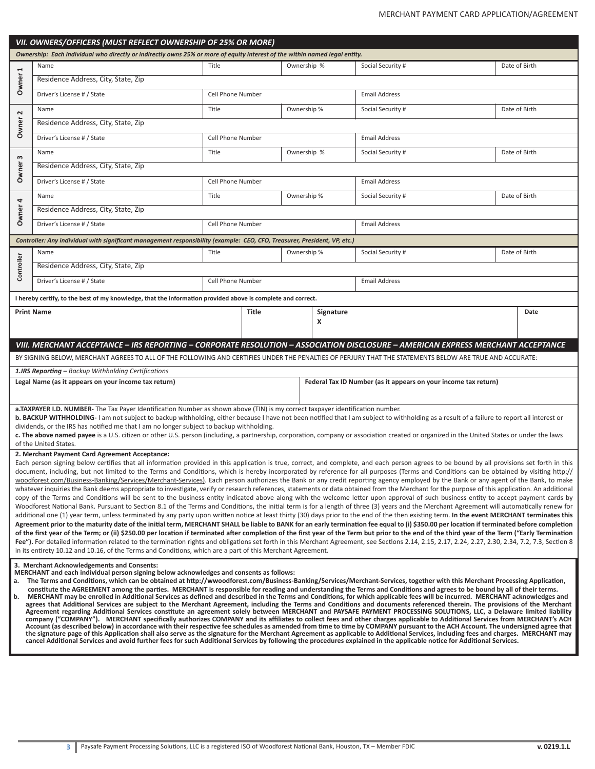|                                                                         | VII. OWNERS/OFFICERS (MUST REFLECT OWNERSHIP OF 25% OR MORE)                                                                                                                                                                                                                                                                                                                                   |                          |       |             |           |                                                                 |               |  |  |
|-------------------------------------------------------------------------|------------------------------------------------------------------------------------------------------------------------------------------------------------------------------------------------------------------------------------------------------------------------------------------------------------------------------------------------------------------------------------------------|--------------------------|-------|-------------|-----------|-----------------------------------------------------------------|---------------|--|--|
|                                                                         | Ownership: Each individual who directly or indirectly owns 25% or more of equity interest of the within named legal entity.                                                                                                                                                                                                                                                                    |                          |       |             |           |                                                                 |               |  |  |
| $\blacktriangleright$                                                   | Name                                                                                                                                                                                                                                                                                                                                                                                           | Title                    |       | Ownership % |           | Social Security #                                               | Date of Birth |  |  |
| Owner                                                                   | Residence Address, City, State, Zip                                                                                                                                                                                                                                                                                                                                                            |                          |       |             |           |                                                                 |               |  |  |
|                                                                         | Driver's License # / State                                                                                                                                                                                                                                                                                                                                                                     | Cell Phone Number        |       |             |           | <b>Email Address</b>                                            |               |  |  |
| $\sim$                                                                  | Name                                                                                                                                                                                                                                                                                                                                                                                           | Title                    |       | Ownership % |           | Social Security #                                               | Date of Birth |  |  |
| Owner                                                                   | Residence Address, City, State, Zip                                                                                                                                                                                                                                                                                                                                                            |                          |       |             |           |                                                                 |               |  |  |
|                                                                         | Driver's License # / State                                                                                                                                                                                                                                                                                                                                                                     | <b>Cell Phone Number</b> |       |             |           | <b>Email Address</b>                                            |               |  |  |
| $\boldsymbol{\mathsf{m}}$                                               | Name                                                                                                                                                                                                                                                                                                                                                                                           | Title                    |       | Ownership % |           | Social Security #                                               | Date of Birth |  |  |
| Owner                                                                   | Residence Address, City, State, Zip                                                                                                                                                                                                                                                                                                                                                            |                          |       |             |           |                                                                 |               |  |  |
|                                                                         | Driver's License # / State                                                                                                                                                                                                                                                                                                                                                                     | Cell Phone Number        |       |             |           | <b>Email Address</b>                                            |               |  |  |
|                                                                         | Name                                                                                                                                                                                                                                                                                                                                                                                           | Title                    |       | Ownership % |           | Social Security #                                               | Date of Birth |  |  |
| Owner <sub>4</sub>                                                      | Residence Address, City, State, Zip                                                                                                                                                                                                                                                                                                                                                            |                          |       |             |           |                                                                 |               |  |  |
|                                                                         | Driver's License # / State                                                                                                                                                                                                                                                                                                                                                                     | Cell Phone Number        |       |             |           | <b>Email Address</b>                                            |               |  |  |
|                                                                         | Controller: Any individual with significant management responsibility (example: CEO, CFO, Treasurer, President, VP, etc.)                                                                                                                                                                                                                                                                      |                          |       |             |           |                                                                 |               |  |  |
|                                                                         | Title<br>Name                                                                                                                                                                                                                                                                                                                                                                                  |                          |       | Ownership % |           | Social Security #                                               | Date of Birth |  |  |
| Controller                                                              | Residence Address, City, State, Zip                                                                                                                                                                                                                                                                                                                                                            |                          |       |             |           |                                                                 |               |  |  |
|                                                                         | Driver's License # / State                                                                                                                                                                                                                                                                                                                                                                     | Cell Phone Number        |       |             |           | <b>Email Address</b>                                            |               |  |  |
|                                                                         | I hereby certify, to the best of my knowledge, that the information provided above is complete and correct.                                                                                                                                                                                                                                                                                    |                          |       |             |           |                                                                 |               |  |  |
| <b>Print Name</b>                                                       |                                                                                                                                                                                                                                                                                                                                                                                                |                          | Title |             | Signature |                                                                 | Date          |  |  |
|                                                                         |                                                                                                                                                                                                                                                                                                                                                                                                |                          |       |             | X         |                                                                 |               |  |  |
|                                                                         |                                                                                                                                                                                                                                                                                                                                                                                                |                          |       |             |           |                                                                 |               |  |  |
|                                                                         | VIII. MERCHANT ACCEPTANCE – IRS REPORTING – CORPORATE RESOLUTION – ASSOCIATION DISCLOSURE – AMERICAN EXPRESS MERCHANT ACCEPTANCE<br>BY SIGNING BELOW, MERCHANT AGREES TO ALL OF THE FOLLOWING AND CERTIFIES UNDER THE PENALTIES OF PERJURY THAT THE STATEMENTS BELOW ARE TRUE AND ACCURATE:                                                                                                    |                          |       |             |           |                                                                 |               |  |  |
|                                                                         | 1.IRS Reporting - Backup Withholding Certifications                                                                                                                                                                                                                                                                                                                                            |                          |       |             |           |                                                                 |               |  |  |
|                                                                         | Legal Name (as it appears on your income tax return)                                                                                                                                                                                                                                                                                                                                           |                          |       |             |           | Federal Tax ID Number (as it appears on your income tax return) |               |  |  |
|                                                                         |                                                                                                                                                                                                                                                                                                                                                                                                |                          |       |             |           |                                                                 |               |  |  |
|                                                                         | a.TAXPAYER I.D. NUMBER-The Tax Payer Identification Number as shown above (TIN) is my correct taxpayer identification number.                                                                                                                                                                                                                                                                  |                          |       |             |           |                                                                 |               |  |  |
|                                                                         | <b>b. BACKUP WITHHOLDING-</b> I am not subject to backup withholding, either because I have not been notified that I am subject to withholding as a result of a failure to report all interest or<br>dividends, or the IRS has notified me that I am no longer subject to backup withholding.                                                                                                  |                          |       |             |           |                                                                 |               |  |  |
|                                                                         | c. The above named payee is a U.S. citizen or other U.S. person (including, a partnership, corporation, company or association created or organized in the United States or under the laws                                                                                                                                                                                                     |                          |       |             |           |                                                                 |               |  |  |
| of the United States.<br>2. Merchant Payment Card Agreement Acceptance: |                                                                                                                                                                                                                                                                                                                                                                                                |                          |       |             |           |                                                                 |               |  |  |
|                                                                         | Each person signing below certifies that all information provided in this application is true, correct, and complete, and each person agrees to be bound by all provisions set forth in this                                                                                                                                                                                                   |                          |       |             |           |                                                                 |               |  |  |
|                                                                         | document, including, but not limited to the Terms and Conditions, which is hereby incorporated by reference for all purposes (Terms and Conditions can be obtained by visiting http://<br>woodforest.com/Business-Banking/Services/Merchant-Services). Each person authorizes the Bank or any credit reporting agency employed by the Bank or any agent of the Bank, to make                   |                          |       |             |           |                                                                 |               |  |  |
|                                                                         | whatever inquiries the Bank deems appropriate to investigate, verify or research references, statements or data obtained from the Merchant for the purpose of this application. An additional                                                                                                                                                                                                  |                          |       |             |           |                                                                 |               |  |  |
|                                                                         | copy of the Terms and Conditions will be sent to the business entity indicated above along with the welcome letter upon approval of such business entity to accept payment cards by<br>Woodforest National Bank. Pursuant to Section 8.1 of the Terms and Conditions, the initial term is for a length of three (3) years and the Merchant Agreement will automatically renew for              |                          |       |             |           |                                                                 |               |  |  |
|                                                                         | additional one (1) year term, unless terminated by any party upon written notice at least thirty (30) days prior to the end of the then existing term. In the event MERCHANT terminates this                                                                                                                                                                                                   |                          |       |             |           |                                                                 |               |  |  |
|                                                                         | Agreement prior to the maturity date of the initial term, MERCHANT SHALL be liable to BANK for an early termination fee equal to (i) \$350.00 per location if terminated before completion<br>of the first year of the Term; or (ii) \$250.00 per location if terminated after completion of the first year of the Term but prior to the end of the third year of the Term ("Early Termination |                          |       |             |           |                                                                 |               |  |  |
|                                                                         | Fee"). For detailed information related to the termination rights and obligations set forth in this Merchant Agreement, see Sections 2.14, 2.15, 2.17, 2.24, 2.27, 2.30, 2.34, 7.2, 7.3, Section 8                                                                                                                                                                                             |                          |       |             |           |                                                                 |               |  |  |
|                                                                         | in its entirety 10.12 and 10.16, of the Terms and Conditions, which are a part of this Merchant Agreement.                                                                                                                                                                                                                                                                                     |                          |       |             |           |                                                                 |               |  |  |
|                                                                         | 3. Merchant Acknowledgements and Consents:<br>MERCHANT and each individual person signing below acknowledges and consents as follows:                                                                                                                                                                                                                                                          |                          |       |             |           |                                                                 |               |  |  |
|                                                                         | a. The Terms and Conditions, which can be obtained at http://wwoodforest.com/Business-Banking/Services/Merchant-Services, together with this Merchant Processing Application,                                                                                                                                                                                                                  |                          |       |             |           |                                                                 |               |  |  |
| b.                                                                      | constitute the AGREEMENT among the parties. MERCHANT is responsible for reading and understanding the Terms and Conditions and agrees to be bound by all of their terms.<br>MERCHANT may be enrolled in Additional Services as defined and described in the Terms and Conditions, for which applicable fees will be incurred. MERCHANT acknowledges and                                        |                          |       |             |           |                                                                 |               |  |  |
|                                                                         | agrees that Additional Services are subject to the Merchant Agreement, including the Terms and Conditions and documents referenced therein. The provisions of the Merchant<br>Agreement regarding Additional Services constitute an agreement solely between MERCHANT and PAYSAFE PAYMENT PROCESSING SOLUTIONS, LLC, a Delaware limited liability                                              |                          |       |             |           |                                                                 |               |  |  |
|                                                                         | company ("COMPANY"). MERCHANT specifically authorizes COMPANY and its affiliates to collect fees and other charges applicable to Additional Services from MERCHANT's ACH                                                                                                                                                                                                                       |                          |       |             |           |                                                                 |               |  |  |
|                                                                         | Account (as described below) in accordance with their respective fee schedules as amended from time to time by COMPANY pursuant to the ACH Account. The undersigned agree that<br>the signature page of this Application shall also serve as the signature for the Merchant Agreement as applicable to Additional Services, including fees and charges. MERCHANT may                           |                          |       |             |           |                                                                 |               |  |  |
|                                                                         | cancel Additional Services and avoid further fees for such Additional Services by following the procedures explained in the applicable notice for Additional Services.                                                                                                                                                                                                                         |                          |       |             |           |                                                                 |               |  |  |
|                                                                         |                                                                                                                                                                                                                                                                                                                                                                                                |                          |       |             |           |                                                                 |               |  |  |
|                                                                         |                                                                                                                                                                                                                                                                                                                                                                                                |                          |       |             |           |                                                                 |               |  |  |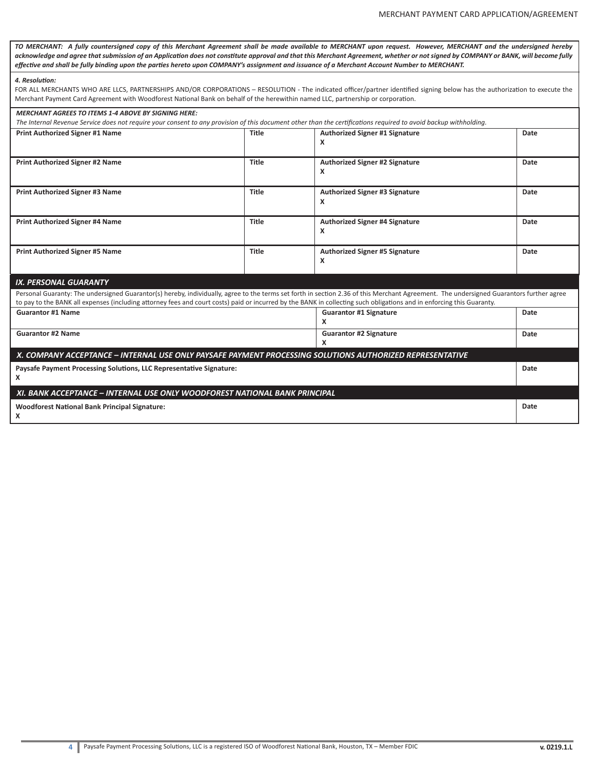*TO MERCHANT: A fully countersigned copy of this Merchant Agreement shall be made available to MERCHANT upon request. However, MERCHANT and the undersigned hereby acknowledge and agree that submission of an Application does not constitute approval and that this Merchant Agreement, whether or not signed by COMPANY or BANK, will become fully effective and shall be fully binding upon the parties hereto upon COMPANY's assignment and issuance of a Merchant Account Number to MERCHANT.*

#### *4. Resolution:*

FOR ALL MERCHANTS WHO ARE LLCS, PARTNERSHIPS AND/OR CORPORATIONS – RESOLUTION - The indicated officer/partner identified signing below has the authorization to execute the Merchant Payment Card Agreement with Woodforest National Bank on behalf of the herewithin named LLC, partnership or corporation.

| <b>MERCHANT AGREES TO ITEMS 1-4 ABOVE BY SIGNING HERE:</b>                                                                                                                              |                                |                                       |             |  |  |  |  |
|-----------------------------------------------------------------------------------------------------------------------------------------------------------------------------------------|--------------------------------|---------------------------------------|-------------|--|--|--|--|
| The Internal Revenue Service does not require your consent to any provision of this document other than the certifications required to avoid backup withholding.                        |                                |                                       |             |  |  |  |  |
| Print Authorized Signer #1 Name                                                                                                                                                         | Authorized Signer #1 Signature | Date                                  |             |  |  |  |  |
|                                                                                                                                                                                         |                                | x                                     |             |  |  |  |  |
|                                                                                                                                                                                         |                                |                                       |             |  |  |  |  |
| Print Authorized Signer #2 Name                                                                                                                                                         | Title                          | Authorized Signer #2 Signature        | Date        |  |  |  |  |
|                                                                                                                                                                                         |                                | x                                     |             |  |  |  |  |
|                                                                                                                                                                                         |                                |                                       |             |  |  |  |  |
| <b>Print Authorized Signer #3 Name</b>                                                                                                                                                  | Title                          | <b>Authorized Signer #3 Signature</b> | Date        |  |  |  |  |
|                                                                                                                                                                                         |                                | x                                     |             |  |  |  |  |
|                                                                                                                                                                                         |                                |                                       |             |  |  |  |  |
| <b>Print Authorized Signer #4 Name</b>                                                                                                                                                  | Title                          | <b>Authorized Signer #4 Signature</b> | <b>Date</b> |  |  |  |  |
|                                                                                                                                                                                         |                                | x                                     |             |  |  |  |  |
|                                                                                                                                                                                         |                                |                                       |             |  |  |  |  |
| <b>Print Authorized Signer #5 Name</b>                                                                                                                                                  | <b>Title</b>                   | <b>Authorized Signer #5 Signature</b> | Date        |  |  |  |  |
|                                                                                                                                                                                         |                                | x                                     |             |  |  |  |  |
|                                                                                                                                                                                         |                                |                                       |             |  |  |  |  |
| <b>IX. PERSONAL GUARANTY</b>                                                                                                                                                            |                                |                                       |             |  |  |  |  |
| Personal Guaranty: The undersigned Guarantor(s) hereby, individually, agree to the terms set forth in section 2.36 of this Merchant Agreement. The undersigned Guarantors further agree |                                |                                       |             |  |  |  |  |
| to pay to the BANK all expenses (including attorney fees and court costs) paid or incurred by the BANK in collecting such obligations and in enforcing this Guaranty.                   |                                |                                       |             |  |  |  |  |
| <b>Guarantor #1 Name</b>                                                                                                                                                                | <b>Guarantor #1 Signature</b>  | Date                                  |             |  |  |  |  |
|                                                                                                                                                                                         | x                              |                                       |             |  |  |  |  |
| <b>Guarantor #2 Name</b>                                                                                                                                                                | <b>Guarantor #2 Signature</b>  | Date                                  |             |  |  |  |  |
|                                                                                                                                                                                         |                                | x                                     |             |  |  |  |  |
| X. COMPANY ACCEPTANCE – INTERNAL USE ONLY PAYSAFE PAYMENT PROCESSING SOLUTIONS AUTHORIZED REPRESENTATIVE                                                                                |                                |                                       |             |  |  |  |  |
| Paysafe Payment Processing Solutions, LLC Representative Signature:                                                                                                                     |                                |                                       |             |  |  |  |  |
| x                                                                                                                                                                                       |                                |                                       |             |  |  |  |  |
|                                                                                                                                                                                         |                                |                                       |             |  |  |  |  |
| XI. BANK ACCEPTANCE - INTERNAL USE ONLY WOODFOREST NATIONAL BANK PRINCIPAL                                                                                                              |                                |                                       |             |  |  |  |  |
| <b>Woodforest National Bank Principal Signature:</b>                                                                                                                                    |                                |                                       |             |  |  |  |  |
| x                                                                                                                                                                                       |                                |                                       |             |  |  |  |  |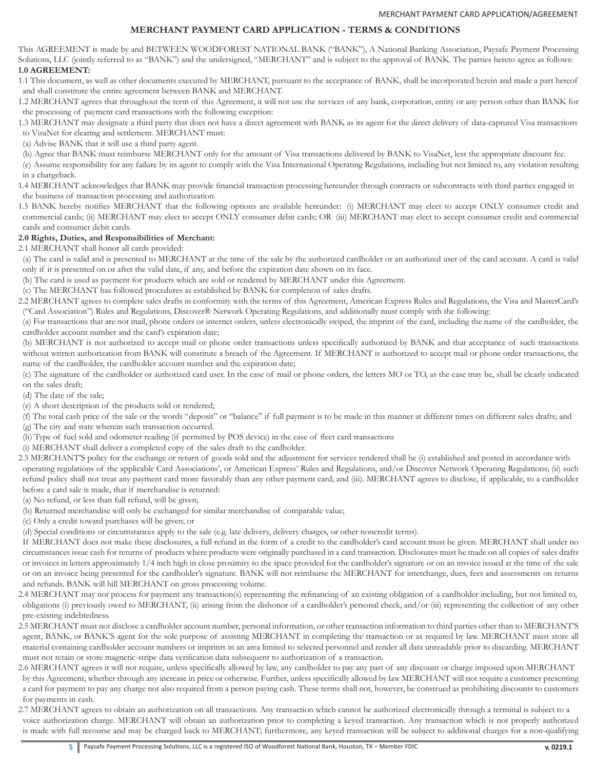# **MERCHANT PAYMENT CARD APPLICATION - TERMS & CONDITIONS**

This AGREEMENT is made by and BETWEEN WOODFOREST NATIONAL BANK ("BANK"), A National Banking Association, Paysafe Payment Processing Solutions, LLC (jointly referred to as "BANK") and the undersigned, "MERCHANT" and is subject to the approval of BANK. The parties hereto agree as follows: **1.0 AGREEMENT:**

1.1 This document, as well as other documents executed by MERCHANT, pursuant to the acceptance of BANK, shall be incorporated herein and made a part hereof and shall constitute the entire agreement between BANK and MERCHANT.

1.2 MERCHANT agrees that throughout the term of this Agreement, it will not use the services of any bank, corporation, entity or any person other than BANK for the processing of payment card transactions with the following exception:

1.3 MERCHANT may designate a third party that does not have a direct agreement with BANK as its agent for the direct delivery of data-captured Visa transactions to VisaNet for clearing and settlement. MERCHANT must:

(a) Advise BANK that it will use a third party agent.

(b) Agree that BANK must reimburse MERCHANT only for the amount of Visa transactions delivered by BANK to VisaNet, less the appropriate discount fee.

(c) Assume responsibility for any failure by its agent to comply with the Visa International Operating Regulations, including but not limited to, any violation resulting in a chargeback.

1.4 MERCHANT acknowledges that BANK may provide financial transaction processing hereunder through contracts or subcontracts with third parties engaged in the business of transaction processing and authorization.

1.5 BANK hereby notifies MERCHANT that the following options are available hereunder: (i) MERCHANT may elect to accept ONLY consumer credit and commercial cards; (ii) MERCHANT may elect to accept ONLY consumer debit cards; OR (iii) MERCHANT may elect to accept consumer credit and commercial cards and consumer debit cards.

# **2.0 Rights, Duties, and Responsibilities of Merchant:**

2.1 MERCHANT shall honor all cards provided:

(a) The card is valid and is presented to MERCHANT at the time of the sale by the authorized cardholder or an authorized user of the card account. A card is valid only if it is presented on or after the valid date, if any, and before the expiration date shown on its face.

(b) The card is used as payment for products which are sold or rendered by MERCHANT under this Agreement.

(c) The MERCHANT has followed procedures as established by BANK for completion of sales drafts.

2.2 MERCHANT agrees to complete sales drafts in conformity with the terms of this Agreement, American Express Rules and Regulations, the Visa and MasterCard's ("Card Association") Rules and Regulations, Discover® Network Operating Regulations, and additionally must comply with the following:

(a) For transactions that are not mail, phone orders or internet orders, unless electronically swiped, the imprint of the card, including the name of the cardholder, the cardholder account number and the card's expiration date;

(b) MERCHANT is not authorized to accept mail or phone order transactions unless specifically authorized by BANK and that acceptance of such transactions without written authorization from BANK will constitute a breach of the Agreement. If MERCHANT is authorized to accept mail or phone order transactions, the name of the cardholder, the cardholder account number and the expiration date;

(c) The signature of the cardholder or authorized card user. In the case of mail or phone orders, the letters MO or TO, as the case may be, shall be clearly indicated on the sales draft;

(d) The date of the sale;

(e) A short description of the products sold or rendered;

(f) The total cash price of the sale or the words "deposit" or "balance" if full payment is to be made in this manner at different times on different sales drafts; and (g) The city and state wherein such transaction occurred.

(h) Type of fuel sold and odometer reading (if permitted by POS device) in the case of fleet card transactions

(i) MERCHANT shall deliver a completed copy of the sales draft to the cardholder.

2.3 MERCHANT'S policy for the exchange or return of goods sold and the adjustment for services rendered shall be (i) established and posted in accordance with operating regulations of the applicable Card Associations', or American Express' Rules and Regulations, and/or Discover Network Operating Regulations; (ii) such refund policy shall not treat any payment card more favorably than any other payment card; and (iii). MERCHANT agrees to disclose, if applicable, to a cardholder before a card sale is made, that if merchandise is returned:

(a) No refund, or less than full refund, will be given;

(b) Returned merchandise will only be exchanged for similar merchandise of comparable value;

(c) Only a credit toward purchases will be given; or

(d) Special conditions or circumstances apply to the sale (e.g. late delivery, delivery charges, or other noncredit terms).

If MERCHANT does not make these disclosures, a full refund in the form of a credit to the cardholder's card account must be given. MERCHANT shall under no circumstances issue cash for returns of products where products were originally purchased in a card transaction. Disclosures must be made on all copies of sales drafts or invoices in letters approximately 1/4 inch high in close proximity to the space provided for the cardholder's signature or on an invoice issued at the time of the sale or on an invoice being presented for the cardholder's signature. BANK will not reimburse the MERCHANT for interchange, dues, fees and assessments on returns and refunds. BANK will bill MERCHANT on gross processing volume.

2.4 MERCHANT may not process for payment any transaction(s) representing the refinancing of an existing obligation of a cardholder including, but not limited to, obligations (i) previously owed to MERCHANT, (ii) arising from the dishonor of a cardholder's personal check, and/or (iii) representing the collection of any other pre-existing indebtedness.

2.5 MERCHANT must not disclose a cardholder account number, personal information, or other transaction information to third parties other than to MERCHANT'S agent, BANK, or BANK'S agent for the sole purpose of assisting MERCHANT in completing the transaction or as required by law. MERCHANT must store all material containing cardholder account numbers or imprints in an area limited to selected personnel and render all data unreadable prior to discarding. MERCHANT must not retain or store magnetic-stripe data verification data subsequent to authorization of a transaction.

2.6 MERCHANT agrees it will not require, unless specifically allowed by law, any cardholder to pay any part of any discount or charge imposed upon MERCHANT by this Agreement, whether through any increase in price or otherwise. Further, unless specifically allowed by law MERCHANT will not require a customer presenting a card for payment to pay any charge not also required from a person paying cash. These terms shall not, however, be construed as prohibiting discounts to customers for payments in cash.

2.7 MERCHANT agrees to obtain an authorization on all transactions. Any transaction which cannot be authorized electronically through a terminal is subject to a voice authorization charge. MERCHANT will obtain an authorization prior to completing a keyed transaction. Any transaction which is not properly authorized is made with full recourse and may be charged back to MERCHANT; furthermore, any keyed transaction will be subject to additional charges for a non-qualifying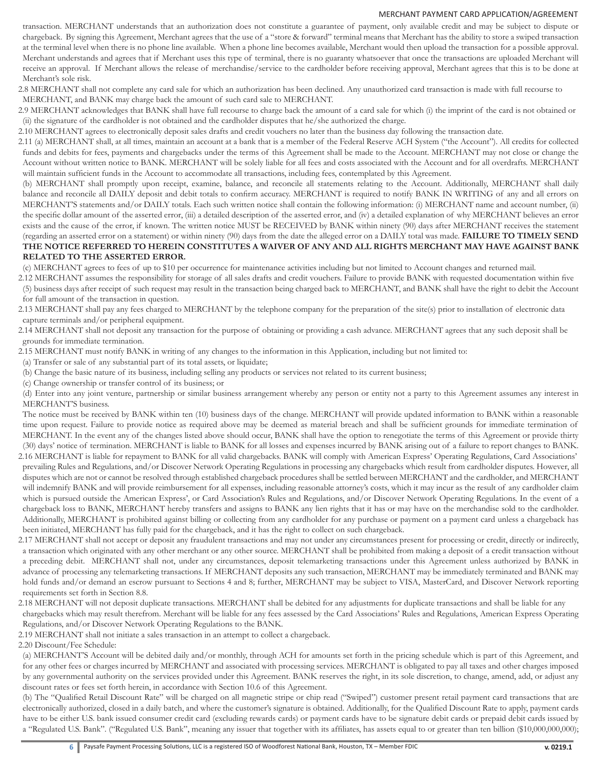transaction. MERCHANT understands that an authorization does not constitute a guarantee of payment, only available credit and may be subject to dispute or chargeback. By signing this Agreement, Merchant agrees that the use of a "store & forward" terminal means that Merchant has the ability to store a swiped transaction at the terminal level when there is no phone line available. When a phone line becomes available, Merchant would then upload the transaction for a possible approval. Merchant understands and agrees that if Merchant uses this type of terminal, there is no guaranty whatsoever that once the transactions are uploaded Merchant will receive an approval. If Merchant allows the release of merchandise/service to the cardholder before receiving approval, Merchant agrees that this is to be done at Merchant's sole risk.

2.8 MERCHANT shall not complete any card sale for which an authorization has been declined. Any unauthorized card transaction is made with full recourse to MERCHANT, and BANK may charge back the amount of such card sale to MERCHANT.

2.9 MERCHANT acknowledges that BANK shall have full recourse to charge back the amount of a card sale for which (i) the imprint of the card is not obtained or (ii) the signature of the cardholder is not obtained and the cardholder disputes that he/she authorized the charge.

2.10 MERCHANT agrees to electronically deposit sales drafts and credit vouchers no later than the business day following the transaction date.

2.11 (a) MERCHANT shall, at all times, maintain an account at a bank that is a member of the Federal Reserve ACH System ("the Account"). All credits for collected funds and debits for fees, payments and chargebacks under the terms of this Agreement shall be made to the Account. MERCHANT may not close or change the Account without written notice to BANK. MERCHANT will be solely liable for all fees and costs associated with the Account and for all overdrafts. MERCHANT will maintain sufficient funds in the Account to accommodate all transactions, including fees, contemplated by this Agreement.

(b) MERCHANT shall promptly upon receipt, examine, balance, and reconcile all statements relating to the Account. Additionally, MERCHANT shall daily balance and reconcile all DAILY deposit and debit totals to confirm accuracy. MERCHANT is required to notify BANK IN WRITING of any and all errors on MERCHANT'S statements and/or DAILY totals. Each such written notice shall contain the following information: (i) MERCHANT name and account number, (ii) the specific dollar amount of the asserted error, (iii) a detailed description of the asserted error, and (iv) a detailed explanation of why MERCHANT believes an error exists and the cause of the error, if known. The written notice MUST be RECEIVED by BANK within ninety (90) days after MERCHANT receives the statement (regarding an asserted error on a statement) or within ninety (90) days from the date the alleged error on a DAILY total was made. **FAILURE TO TIMELY SEND THE NOTICE REFERRED TO HEREIN CONSTITUTES A WAIVER OF ANY AND ALL RIGHTS MERCHANT MAY HAVE AGAINST BANK RELATED TO THE ASSERTED ERROR.**

(c) MERCHANT agrees to fees of up to \$10 per occurrence for maintenance activities including but not limited to Account changes and returned mail.

2.12 MERCHANT assumes the responsibility for storage of all sales drafts and credit vouchers. Failure to provide BANK with requested documentation within five (5) business days after receipt of such request may result in the transaction being charged back to MERCHANT, and BANK shall have the right to debit the Account for full amount of the transaction in question.

2.13 MERCHANT shall pay any fees charged to MERCHANT by the telephone company for the preparation of the site(s) prior to installation of electronic data capture terminals and/or peripheral equipment.

2.14 MERCHANT shall not deposit any transaction for the purpose of obtaining or providing a cash advance. MERCHANT agrees that any such deposit shall be grounds for immediate termination.

2.15 MERCHANT must notify BANK in writing of any changes to the information in this Application, including but not limited to:

(a) Transfer or sale of any substantial part of its total assets, or liquidate;

(b) Change the basic nature of its business, including selling any products or services not related to its current business;

(c) Change ownership or transfer control of its business; or

(d) Enter into any joint venture, partnership or similar business arrangement whereby any person or entity not a party to this Agreement assumes any interest in MERCHANT'S business.

The notice must be received by BANK within ten (10) business days of the change. MERCHANT will provide updated information to BANK within a reasonable time upon request. Failure to provide notice as required above may be deemed as material breach and shall be sufficient grounds for immediate termination of MERCHANT. In the event any of the changes listed above should occur, BANK shall have the option to renegotiate the terms of this Agreement or provide thirty (30) days' notice of termination. MERCHANT is liable to BANK for all losses and expenses incurred by BANK arising out of a failure to report changes to BANK.

2.16 MERCHANT is liable for repayment to BANK for all valid chargebacks. BANK will comply with American Express' Operating Regulations, Card Associations' prevailing Rules and Regulations, and/or Discover Network Operating Regulations in processing any chargebacks which result from cardholder disputes. However, all disputes which are not or cannot be resolved through established chargeback procedures shall be settled between MERCHANT and the cardholder, and MERCHANT will indemnify BANK and will provide reimbursement for all expenses, including reasonable attorney's costs, which it may incur as the result of any cardholder claim which is pursued outside the American Express', or Card Association's Rules and Regulations, and/or Discover Network Operating Regulations. In the event of a chargeback loss to BANK, MERCHANT hereby transfers and assigns to BANK any lien rights that it has or may have on the merchandise sold to the cardholder. Additionally, MERCHANT is prohibited against billing or collecting from any cardholder for any purchase or payment on a payment card unless a chargeback has been initiated, MERCHANT has fully paid for the chargeback, and it has the right to collect on such chargeback.

2.17 MERCHANT shall not accept or deposit any fraudulent transactions and may not under any circumstances present for processing or credit, directly or indirectly, a transaction which originated with any other merchant or any other source. MERCHANT shall be prohibited from making a deposit of a credit transaction without a preceding debit. MERCHANT shall not, under any circumstances, deposit telemarketing transactions under this Agreement unless authorized by BANK in advance of processing any telemarketing transactions. If MERCHANT deposits any such transaction, MERCHANT may be immediately terminated and BANK may hold funds and/or demand an escrow pursuant to Sections 4 and 8; further, MERCHANT may be subject to VISA, MasterCard, and Discover Network reporting requirements set forth in Section 8.8.

2.18 MERCHANT will not deposit duplicate transactions. MERCHANT shall be debited for any adjustments for duplicate transactions and shall be liable for any chargebacks which may result therefrom. Merchant will be liable for any fees assessed by the Card Associations' Rules and Regulations, American Express Operating Regulations, and/or Discover Network Operating Regulations to the BANK.

2.19 MERCHANT shall not initiate a sales transaction in an attempt to collect a chargeback.

2.20 Discount/Fee Schedule:

(a) MERCHANT'S Account will be debited daily and/or monthly, through ACH for amounts set forth in the pricing schedule which is part of this Agreement, and for any other fees or charges incurred by MERCHANT and associated with processing services. MERCHANT is obligated to pay all taxes and other charges imposed by any governmental authority on the services provided under this Agreement. BANK reserves the right, in its sole discretion, to change, amend, add, or adjust any discount rates or fees set forth herein, in accordance with Section 10.6 of this Agreement.

(b) The "Qualified Retail Discount Rate" will be charged on all magnetic stripe or chip read ("Swiped") customer present retail payment card transactions that are electronically authorized, closed in a daily batch, and where the customer's signature is obtained. Additionally, for the Qualified Discount Rate to apply, payment cards have to be either U.S. bank issued consumer credit card (excluding rewards cards) or payment cards have to be signature debit cards or prepaid debit cards issued by a "Regulated U.S. Bank". ("Regulated U.S. Bank", meaning any issuer that together with its affiliates, has assets equal to or greater than ten billion (\$10,000,000,000);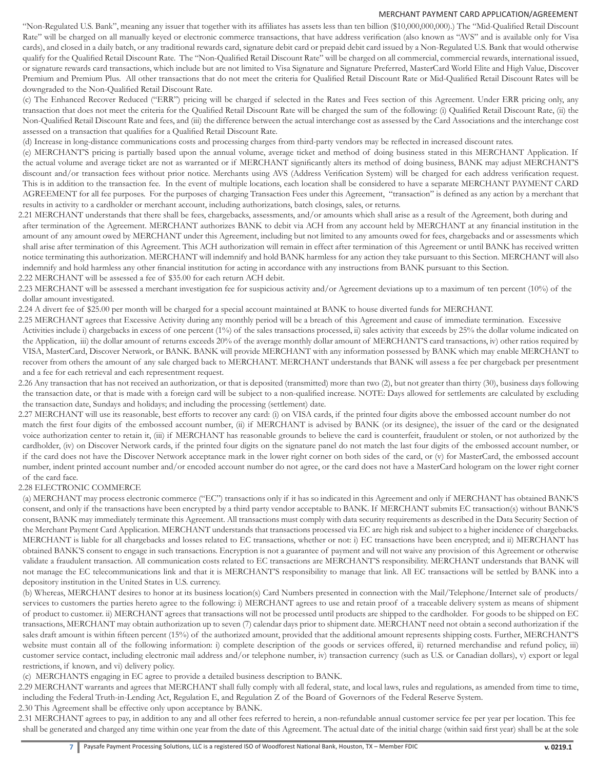"Non-Regulated U.S. Bank", meaning any issuer that together with its affiliates has assets less than ten billion (\$10,000,000,000).) The "Mid-Qualified Retail Discount Rate" will be charged on all manually keyed or electronic commerce transactions, that have address verification (also known as "AVS" and is available only for Visa cards), and closed in a daily batch, or any traditional rewards card, signature debit card or prepaid debit card issued by a Non-Regulated U.S. Bank that would otherwise qualify for the Qualified Retail Discount Rate. The "Non-Qualified Retail Discount Rate" will be charged on all commercial, commercial rewards, international issued, or signature rewards card transactions, which include but are not limited to Visa Signature and Signature Preferred, MasterCard World Elite and High Value, Discover Premium and Premium Plus. All other transactions that do not meet the criteria for Qualified Retail Discount Rate or Mid-Qualified Retail Discount Rates will be downgraded to the Non-Qualified Retail Discount Rate.

(c) The Enhanced Recover Reduced ("ERR") pricing will be charged if selected in the Rates and Fees section of this Agreement. Under ERR pricing only, any transaction that does not meet the criteria for the Qualified Retail Discount Rate will be charged the sum of the following: (i) Qualified Retail Discount Rate, (ii) the Non-Qualified Retail Discount Rate and fees, and (iii) the difference between the actual interchange cost as assessed by the Card Associations and the interchange cost assessed on a transaction that qualifies for a Qualified Retail Discount Rate.

(d) Increase in long-distance communications costs and processing charges from third-party vendors may be reflected in increased discount rates.

(e) MERCHANT'S pricing is partially based upon the annual volume, average ticket and method of doing business stated in this MERCHANT Application. If the actual volume and average ticket are not as warranted or if MERCHANT significantly alters its method of doing business, BANK may adjust MERCHANT'S discount and/or transaction fees without prior notice. Merchants using AVS (Address Verification System) will be charged for each address verification request. This is in addition to the transaction fee. In the event of multiple locations, each location shall be considered to have a separate MERCHANT PAYMENT CARD AGREEMENT for all fee purposes. For the purposes of charging Transaction Fees under this Agreement, "transaction" is defined as any action by a merchant that results in activity to a cardholder or merchant account, including authorizations, batch closings, sales, or returns.

2.21 MERCHANT understands that there shall be fees, chargebacks, assessments, and/or amounts which shall arise as a result of the Agreement, both during and after termination of the Agreement. MERCHANT authorizes BANK to debit via ACH from any account held by MERCHANT at any financial institution in the amount of any amount owed by MERCHANT under this Agreement, including but not limited to any amounts owed for fees, chargebacks and or assessments which shall arise after termination of this Agreement. This ACH authorization will remain in effect after termination of this Agreement or until BANK has received written notice terminating this authorization. MERCHANT will indemnify and hold BANK harmless for any action they take pursuant to this Section. MERCHANT will also indemnify and hold harmless any other financial institution for acting in accordance with any instructions from BANK pursuant to this Section. 2.22 MERCHANT will be assessed a fee of \$35.00 for each return ACH debit.

2.23 MERCHANT will be assessed a merchant investigation fee for suspicious activity and/or Agreement deviations up to a maximum of ten percent (10%) of the dollar amount investigated.

2.24 A divert fee of \$25.00 per month will be charged for a special account maintained at BANK to house diverted funds for MERCHANT.

2.25 MERCHANT agrees that Excessive Activity during any monthly period will be a breach of this Agreement and cause of immediate termination. Excessive

Activities include i) chargebacks in excess of one percent (1%) of the sales transactions processed, ii) sales activity that exceeds by 25% the dollar volume indicated on the Application, iii) the dollar amount of returns exceeds 20% of the average monthly dollar amount of MERCHANT'S card transactions, iv) other ratios required by VISA, MasterCard, Discover Network, or BANK. BANK will provide MERCHANT with any information possessed by BANK which may enable MERCHANT to recover from others the amount of any sale charged back to MERCHANT. MERCHANT understands that BANK will assess a fee per chargeback per presentment and a fee for each retrieval and each representment request.

2.26 Any transaction that has not received an authorization, or that is deposited (transmitted) more than two (2), but not greater than thirty (30), business days following the transaction date, or that is made with a foreign card will be subject to a non-qualified increase. NOTE: Days allowed for settlements are calculated by excluding the transaction date, Sundays and holidays; and including the processing (settlement) date.

2.27 MERCHANT will use its reasonable, best efforts to recover any card: (i) on VISA cards, if the printed four digits above the embossed account number do not match the first four digits of the embossed account number, (ii) if MERCHANT is advised by BANK (or its designee), the issuer of the card or the designated voice authorization center to retain it, (iii) if MERCHANT has reasonable grounds to believe the card is counterfeit, fraudulent or stolen, or not authorized by the cardholder, (iv) on Discover Network cards, if the printed four digits on the signature panel do not match the last four digits of the embossed account number, or if the card does not have the Discover Network acceptance mark in the lower right corner on both sides of the card, or (v) for MasterCard, the embossed account number, indent printed account number and/or encoded account number do not agree, or the card does not have a MasterCard hologram on the lower right corner of the card face.

# 2.28 ELECTRONIC COMMERCE

(a) MERCHANT may process electronic commerce ("EC") transactions only if it has so indicated in this Agreement and only if MERCHANT has obtained BANK'S consent, and only if the transactions have been encrypted by a third party vendor acceptable to BANK. If MERCHANT submits EC transaction(s) without BANK'S consent, BANK may immediately terminate this Agreement. All transactions must comply with data security requirements as described in the Data Security Section of the Merchant Payment Card Application. MERCHANT understands that transactions processed via EC are high risk and subject to a higher incidence of chargebacks. MERCHANT is liable for all chargebacks and losses related to EC transactions, whether or not: i) EC transactions have been encrypted; and ii) MERCHANT has obtained BANK'S consent to engage in such transactions. Encryption is not a guarantee of payment and will not waive any provision of this Agreement or otherwise validate a fraudulent transaction. All communication costs related to EC transactions are MERCHANT'S responsibility. MERCHANT understands that BANK will not manage the EC telecommunications link and that it is MERCHANT'S responsibility to manage that link. All EC transactions will be settled by BANK into a depository institution in the United States in U.S. currency.

(b) Whereas, MERCHANT desires to honor at its business location(s) Card Numbers presented in connection with the Mail/Telephone/Internet sale of products/ services to customers the parties hereto agree to the following: i) MERCHANT agrees to use and retain proof of a traceable delivery system as means of shipment of product to customer. ii) MERCHANT agrees that transactions will not be processed until products are shipped to the cardholder. For goods to be shipped on EC transactions, MERCHANT may obtain authorization up to seven (7) calendar days prior to shipment date. MERCHANT need not obtain a second authorization if the sales draft amount is within fifteen percent (15%) of the authorized amount, provided that the additional amount represents shipping costs. Further, MERCHANT'S website must contain all of the following information: i) complete description of the goods or services offered, ii) returned merchandise and refund policy, iii) customer service contact, including electronic mail address and/or telephone number, iv) transaction currency (such as U.S. or Canadian dollars), v) export or legal restrictions, if known, and vi) delivery policy.

(c) MERCHANTS engaging in EC agree to provide a detailed business description to BANK.

2.29 MERCHANT warrants and agrees that MERCHANT shall fully comply with all federal, state, and local laws, rules and regulations, as amended from time to time, including the Federal Truth-in-Lending Act, Regulation E, and Regulation Z of the Board of Governors of the Federal Reserve System.

2.30 This Agreement shall be effective only upon acceptance by BANK.

2.31 MERCHANT agrees to pay, in addition to any and all other fees referred to herein, a non-refundable annual customer service fee per year per location. This fee shall be generated and charged any time within one year from the date of this Agreement. The actual date of the initial charge (within said first year) shall be at the sole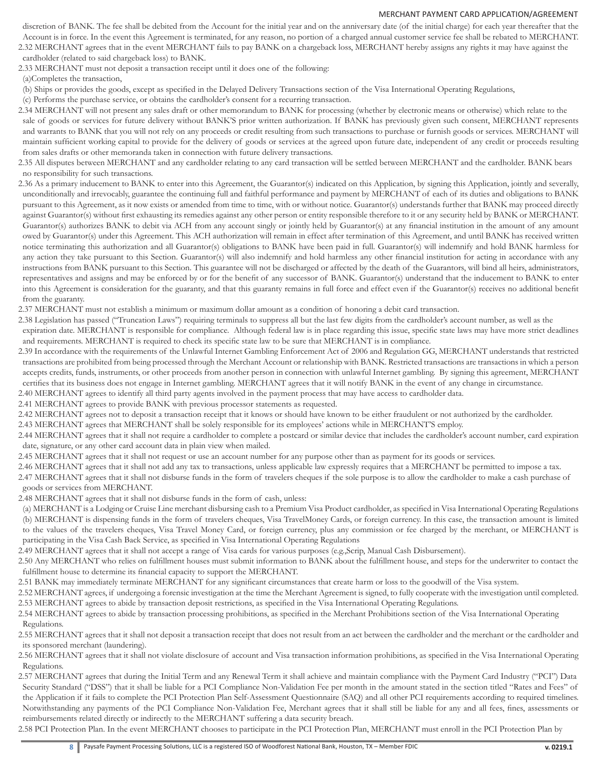discretion of BANK. The fee shall be debited from the Account for the initial year and on the anniversary date (of the initial charge) for each year thereafter that the Account is in force. In the event this Agreement is terminated, for any reason, no portion of a charged annual customer service fee shall be rebated to MERCHANT.

2.32 MERCHANT agrees that in the event MERCHANT fails to pay BANK on a chargeback loss, MERCHANT hereby assigns any rights it may have against the cardholder (related to said chargeback loss) to BANK.

2.33 MERCHANT must not deposit a transaction receipt until it does one of the following:

(a)Completes the transaction,

(b) Ships or provides the goods, except as specified in the Delayed Delivery Transactions section of the Visa International Operating Regulations,

(c) Performs the purchase service, or obtains the cardholder's consent for a recurring transaction.

- 2.34 MERCHANT will not present any sales draft or other memorandum to BANK for processing (whether by electronic means or otherwise) which relate to the sale of goods or services for future delivery without BANK'S prior written authorization. If BANK has previously given such consent, MERCHANT represents and warrants to BANK that you will not rely on any proceeds or credit resulting from such transactions to purchase or furnish goods or services. MERCHANT will maintain sufficient working capital to provide for the delivery of goods or services at the agreed upon future date, independent of any credit or proceeds resulting from sales drafts or other memoranda taken in connection with future delivery transactions.
- 2.35 All disputes between MERCHANT and any cardholder relating to any card transaction will be settled between MERCHANT and the cardholder. BANK bears no responsibility for such transactions.
- 2.36 As a primary inducement to BANK to enter into this Agreement, the Guarantor(s) indicated on this Application, by signing this Application, jointly and severally, unconditionally and irrevocably, guarantee the continuing full and faithful performance and payment by MERCHANT of each of its duties and obligations to BANK pursuant to this Agreement, as it now exists or amended from time to time, with or without notice. Guarantor(s) understands further that BANK may proceed directly against Guarantor(s) without first exhausting its remedies against any other person or entity responsible therefore to it or any security held by BANK or MERCHANT. Guarantor(s) authorizes BANK to debit via ACH from any account singly or jointly held by Guarantor(s) at any financial institution in the amount of any amount owed by Guarantor(s) under this Agreement. This ACH authorization will remain in effect after termination of this Agreement, and until BANK has received written notice terminating this authorization and all Guarantor(s) obligations to BANK have been paid in full. Guarantor(s) will indemnify and hold BANK harmless for any action they take pursuant to this Section. Guarantor(s) will also indemnify and hold harmless any other financial institution for acting in accordance with any instructions from BANK pursuant to this Section. This guarantee will not be discharged or affected by the death of the Guarantors, will bind all heirs, administrators, representatives and assigns and may be enforced by or for the benefit of any successor of BANK. Guarantor(s) understand that the inducement to BANK to enter into this Agreement is consideration for the guaranty, and that this guaranty remains in full force and effect even if the Guarantor(s) receives no additional benefit from the guaranty.
- 2.37 MERCHANT must not establish a minimum or maximum dollar amount as a condition of honoring a debit card transaction.
- 2.38 Legislation has passed ("Truncation Laws") requiring terminals to suppress all but the last few digits from the cardholder's account number, as well as the expiration date. MERCHANT is responsible for compliance. Although federal law is in place regarding this issue, specific state laws may have more strict deadlines and requirements. MERCHANT is required to check its specific state law to be sure that MERCHANT is in compliance.
- 2.39 In accordance with the requirements of the Unlawful Internet Gambling Enforcement Act of 2006 and Regulation GG, MERCHANT understands that restricted transactions are prohibited from being processed through the Merchant Account or relationship with BANK. Restricted transactions are transactions in which a person accepts credits, funds, instruments, or other proceeds from another person in connection with unlawful Internet gambling. By signing this agreement, MERCHANT certifies that its business does not engage in Internet gambling. MERCHANT agrees that it will notify BANK in the event of any change in circumstance.
- 2.40 MERCHANT agrees to identify all third party agents involved in the payment process that may have access to cardholder data.

2.41 MERCHANT agrees to provide BANK with previous processor statements as requested.

2.42 MERCHANT agrees not to deposit a transaction receipt that it knows or should have known to be either fraudulent or not authorized by the cardholder.

2.43 MERCHANT agrees that MERCHANT shall be solely responsible for its employees' actions while in MERCHANT'S employ.

- 2.44 MERCHANT agrees that it shall not require a cardholder to complete a postcard or similar device that includes the cardholder's account number, card expiration date, signature, or any other card account data in plain view when mailed.
- 2.45 MERCHANT agrees that it shall not request or use an account number for any purpose other than as payment for its goods or services.

2.46 MERCHANT agrees that it shall not add any tax to transactions, unless applicable law expressly requires that a MERCHANT be permitted to impose a tax. 2.47 MERCHANT agrees that it shall not disburse funds in the form of travelers cheques if the sole purpose is to allow the cardholder to make a cash purchase of goods or services from MERCHANT.

2.48 MERCHANT agrees that it shall not disburse funds in the form of cash, unless:

(a) MERCHANT is a Lodging or Cruise Line merchant disbursing cash to a Premium Visa Product cardholder, as specified in Visa International Operating Regulations (b) MERCHANT is dispensing funds in the form of travelers cheques, Visa TravelMoney Cards, or foreign currency. In this case, the transaction amount is limited to the values of the travelers cheques, Visa Travel Money Card, or foreign currency, plus any commission or fee charged by the merchant, or MERCHANT is participating in the Visa Cash Back Service, as specified in Visa International Operating Regulations

2.49 MERCHANT agrees that it shall not accept a range of Visa cards for various purposes (e.g.,Scrip, Manual Cash Disbursement).

2.50 Any MERCHANT who relies on fulfillment houses must submit information to BANK about the fulfillment house, and steps for the underwriter to contact the fulfillment house to determine its financial capacity to support the MERCHANT.

2.51 BANK may immediately terminate MERCHANT for any significant circumstances that create harm or loss to the goodwill of the Visa system.

2.52 MERCHANT agrees, if undergoing a forensic investigation at the time the Merchant Agreement is signed, to fully cooperate with the investigation until completed. 2.53 MERCHANT agrees to abide by transaction deposit restrictions, as specified in the Visa International Operating Regulations.

2.54 MERCHANT agrees to abide by transaction processing prohibitions, as specified in the Merchant Prohibitions section of the Visa International Operating Regulations.

- 2.55 MERCHANT agrees that it shall not deposit a transaction receipt that does not result from an act between the cardholder and the merchant or the cardholder and its sponsored merchant (laundering).
- 2.56 MERCHANT agrees that it shall not violate disclosure of account and Visa transaction information prohibitions, as specified in the Visa International Operating Regulations.
- 2.57 MERCHANT agrees that during the Initial Term and any Renewal Term it shall achieve and maintain compliance with the Payment Card Industry ("PCI") Data Security Standard ("DSS") that it shall be liable for a PCI Compliance Non-Validation Fee per month in the amount stated in the section titled "Rates and Fees" of the Application if it fails to complete the PCI Protection Plan Self-Assessment Questionnaire (SAQ) and all other PCI requirements according to required timelines. Notwithstanding any payments of the PCI Compliance Non-Validation Fee, Merchant agrees that it shall still be liable for any and all fees, fines, assessments or reimbursements related directly or indirectly to the MERCHANT suffering a data security breach.

2.58 PCI Protection Plan. In the event MERCHANT chooses to participate in the PCI Protection Plan, MERCHANT must enroll in the PCI Protection Plan by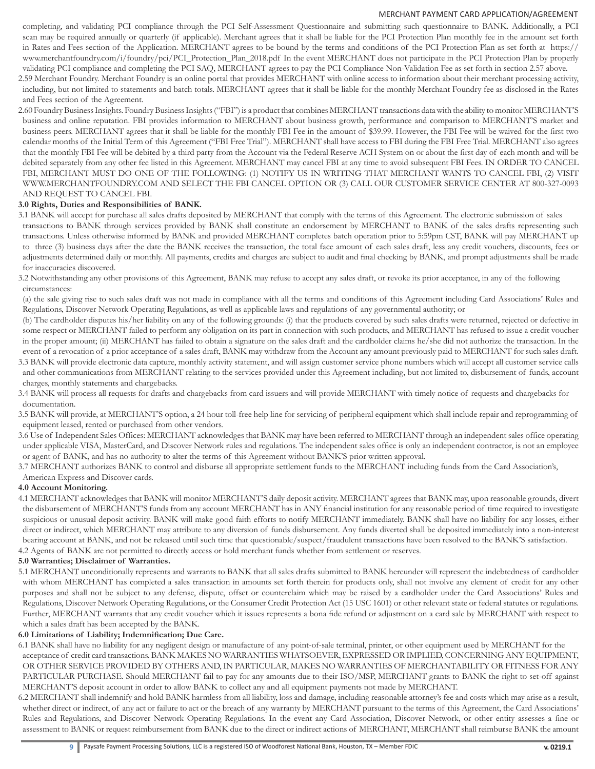completing, and validating PCI compliance through the PCI Self-Assessment Questionnaire and submitting such questionnaire to BANK. Additionally, a PCI scan may be required annually or quarterly (if applicable). Merchant agrees that it shall be liable for the PCI Protection Plan monthly fee in the amount set forth in Rates and Fees section of the Application. MERCHANT agrees to be bound by the terms and conditions of the PCI Protection Plan as set forth at https:// www.merchantfoundry.com/i/foundry/pci/PCI\_Protection\_Plan\_2018.pdf In the event MERCHANT does not participate in the PCI Protection Plan by properly validating PCI compliance and completing the PCI SAQ, MERCHANT agrees to pay the PCI Compliance Non-Validation Fee as set forth in section 2.57 above.

2.59 Merchant Foundry. Merchant Foundry is an online portal that provides MERCHANT with online access to information about their merchant processing activity, including, but not limited to statements and batch totals. MERCHANT agrees that it shall be liable for the monthly Merchant Foundry fee as disclosed in the Rates and Fees section of the Agreement.

2.60 Foundry Business Insights. Foundry Business Insights ("FBI") is a product that combines MERCHANT transactions data with the ability to monitor MERCHANT'S business and online reputation. FBI provides information to MERCHANT about business growth, performance and comparison to MERCHANT'S market and business peers. MERCHANT agrees that it shall be liable for the monthly FBI Fee in the amount of \$39.99. However, the FBI Fee will be waived for the first two calendar months of the Initial Term of this Agreement ("FBI Free Trial"). MERCHANT shall have access to FBI during the FBI Free Trial. MERCHANT also agrees that the monthly FBI Fee will be debited by a third party from the Account via the Federal Reserve ACH System on or about the first day of each month and will be debited separately from any other fee listed in this Agreement. MERCHANT may cancel FBI at any time to avoid subsequent FBI Fees. IN ORDER TO CANCEL FBI, MERCHANT MUST DO ONE OF THE FOLLOWING: (1) NOTIFY US IN WRITING THAT MERCHANT WANTS TO CANCEL FBI, (2) VISIT WWW.MERCHANTFOUNDRY.COM AND SELECT THE FBI CANCEL OPTION OR (3) CALL OUR CUSTOMER SERVICE CENTER AT 800-327-0093 AND REQUEST TO CANCEL FBI.

## **3.0 Rights, Duties and Responsibilities of BANK.**

- 3.1 BANK will accept for purchase all sales drafts deposited by MERCHANT that comply with the terms of this Agreement. The electronic submission of sales transactions to BANK through services provided by BANK shall constitute an endorsement by MERCHANT to BANK of the sales drafts representing such transactions. Unless otherwise informed by BANK and provided MERCHANT completes batch operation prior to 5:59pm CST, BANK will pay MERCHANT up to three (3) business days after the date the BANK receives the transaction, the total face amount of each sales draft, less any credit vouchers, discounts, fees or adjustments determined daily or monthly. All payments, credits and charges are subject to audit and final checking by BANK, and prompt adjustments shall be made for inaccuracies discovered.
- 3.2 Notwithstanding any other provisions of this Agreement, BANK may refuse to accept any sales draft, or revoke its prior acceptance, in any of the following circumstances:

(a) the sale giving rise to such sales draft was not made in compliance with all the terms and conditions of this Agreement including Card Associations' Rules and Regulations, Discover Network Operating Regulations, as well as applicable laws and regulations of any governmental authority; or

(b) The cardholder disputes his/her liability on any of the following grounds: (i) that the products covered by such sales drafts were returned, rejected or defective in some respect or MERCHANT failed to perform any obligation on its part in connection with such products, and MERCHANT has refused to issue a credit voucher in the proper amount; (ii) MERCHANT has failed to obtain a signature on the sales draft and the cardholder claims he/she did not authorize the transaction. In the event of a revocation of a prior acceptance of a sales draft, BANK may withdraw from the Account any amount previously paid to MERCHANT for such sales draft. 3.3 BANK will provide electronic data capture, monthly activity statement, and will assign customer service phone numbers which will accept all customer service calls

- and other communications from MERCHANT relating to the services provided under this Agreement including, but not limited to, disbursement of funds, account charges, monthly statements and chargebacks.
- 3.4 BANK will process all requests for drafts and chargebacks from card issuers and will provide MERCHANT with timely notice of requests and chargebacks for documentation.
- 3.5 BANK will provide, at MERCHANT'S option, a 24 hour toll-free help line for servicing of peripheral equipment which shall include repair and reprogramming of equipment leased, rented or purchased from other vendors.
- 3.6 Use of Independent Sales Offices: MERCHANT acknowledges that BANK may have been referred to MERCHANT through an independent sales office operating under applicable VISA, MasterCard, and Discover Network rules and regulations. The independent sales office is only an independent contractor, is not an employee or agent of BANK, and has no authority to alter the terms of this Agreement without BANK'S prior written approval.
- 3.7 MERCHANT authorizes BANK to control and disburse all appropriate settlement funds to the MERCHANT including funds from the Card Association's,

# American Express and Discover cards.

# **4.0 Account Monitoring.**

4.1 MERCHANT acknowledges that BANK will monitor MERCHANT'S daily deposit activity. MERCHANT agrees that BANK may, upon reasonable grounds, divert the disbursement of MERCHANT'S funds from any account MERCHANT has in ANY financial institution for any reasonable period of time required to investigate suspicious or unusual deposit activity. BANK will make good faith efforts to notify MERCHANT immediately. BANK shall have no liability for any losses, either direct or indirect, which MERCHANT may attribute to any diversion of funds disbursement. Any funds diverted shall be deposited immediately into a non-interest bearing account at BANK, and not be released until such time that questionable/suspect/fraudulent transactions have been resolved to the BANK'S satisfaction.

4.2 Agents of BANK are not permitted to directly access or hold merchant funds whether from settlement or reserves.

# **5.0 Warranties; Disclaimer of Warranties.**

5.1 MERCHANT unconditionally represents and warrants to BANK that all sales drafts submitted to BANK hereunder will represent the indebtedness of cardholder with whom MERCHANT has completed a sales transaction in amounts set forth therein for products only, shall not involve any element of credit for any other purposes and shall not be subject to any defense, dispute, offset or counterclaim which may be raised by a cardholder under the Card Associations' Rules and Regulations, Discover Network Operating Regulations, or the Consumer Credit Protection Act (15 USC 1601) or other relevant state or federal statutes or regulations. Further, MERCHANT warrants that any credit voucher which it issues represents a bona fide refund or adjustment on a card sale by MERCHANT with respect to which a sales draft has been accepted by the BANK.

## **6.0 Limitations of Liability; Indemnification; Due Care.**

6.1 BANK shall have no liability for any negligent design or manufacture of any point-of-sale terminal, printer, or other equipment used by MERCHANT for the acceptance of credit card transactions. BANK MAKES NO WARRANTIES WHATSOEVER, EXPRESSED OR IMPLIED, CONCERNING ANY EQUIPMENT, OR OTHER SERVICE PROVIDED BY OTHERS AND, IN PARTICULAR, MAKES NO WARRANTIES OF MERCHANTABILITY OR FITNESS FOR ANY PARTICULAR PURCHASE. Should MERCHANT fail to pay for any amounts due to their ISO/MSP, MERCHANT grants to BANK the right to set-off against MERCHANT'S deposit account in order to allow BANK to collect any and all equipment payments not made by MERCHANT.

6.2 MERCHANT shall indemnify and hold BANK harmless from all liability, loss and damage, including reasonable attorney's fee and costs which may arise as a result, whether direct or indirect, of any act or failure to act or the breach of any warranty by MERCHANT pursuant to the terms of this Agreement, the Card Associations' Rules and Regulations, and Discover Network Operating Regulations. In the event any Card Association, Discover Network, or other entity assesses a fine or assessment to BANK or request reimbursement from BANK due to the direct or indirect actions of MERCHANT, MERCHANT shall reimburse BANK the amount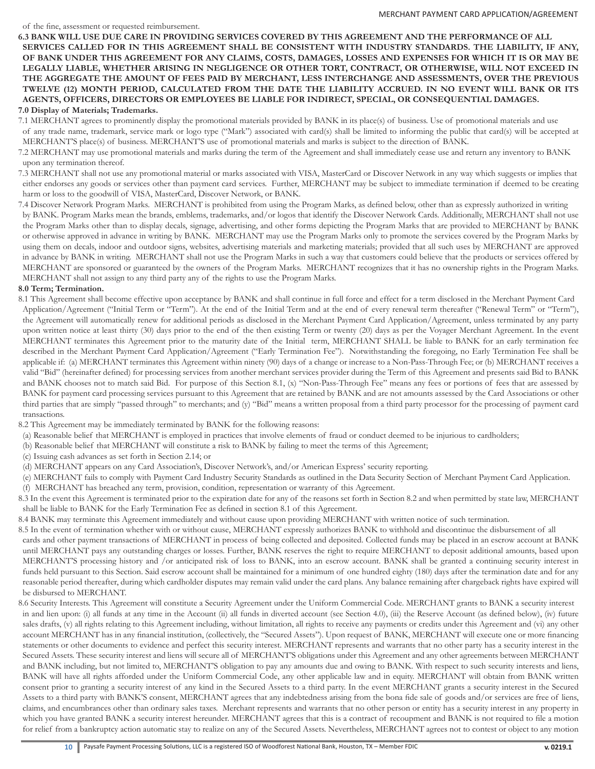**6.3 BANK WILL USE DUE CARE IN PROVIDING SERVICES COVERED BY THIS AGREEMENT AND THE PERFORMANCE OF ALL SERVICES CALLED FOR IN THIS AGREEMENT SHALL BE CONSISTENT WITH INDUSTRY STANDARDS. THE LIABILITY, IF ANY, OF BANK UNDER THIS AGREEMENT FOR ANY CLAIMS, COSTS, DAMAGES, LOSSES AND EXPENSES FOR WHICH IT IS OR MAY BE LEGALLY LIABLE, WHETHER ARISING IN NEGLIGENCE OR OTHER TORT, CONTRACT, OR OTHERWISE, WILL NOT EXCEED IN THE AGGREGATE THE AMOUNT OF FEES PAID BY MERCHANT, LESS INTERCHANGE AND ASSESSMENTS, OVER THE PREVIOUS TWELVE (12) MONTH PERIOD, CALCULATED FROM THE DATE THE LIABILITY ACCRUED. IN NO EVENT WILL BANK OR ITS AGENTS, OFFICERS, DIRECTORS OR EMPLOYEES BE LIABLE FOR INDIRECT, SPECIAL, OR CONSEQUENTIAL DAMAGES.**

# **7.0 Display of Materials; Trademarks.**

7.1 MERCHANT agrees to prominently display the promotional materials provided by BANK in its place(s) of business. Use of promotional materials and use of any trade name, trademark, service mark or logo type ("Mark") associated with card(s) shall be limited to informing the public that card(s) will be accepted at MERCHANT'S place(s) of business. MERCHANT'S use of promotional materials and marks is subject to the direction of BANK.

7.2 MERCHANT may use promotional materials and marks during the term of the Agreement and shall immediately cease use and return any inventory to BANK upon any termination thereof.

7.3 MERCHANT shall not use any promotional material or marks associated with VISA, MasterCard or Discover Network in any way which suggests or implies that either endorses any goods or services other than payment card services. Further, MERCHANT may be subject to immediate termination if deemed to be creating harm or loss to the goodwill of VISA, MasterCard, Discover Network, or BANK.

7.4 Discover Network Program Marks. MERCHANT is prohibited from using the Program Marks, as defined below, other than as expressly authorized in writing by BANK. Program Marks mean the brands, emblems, trademarks, and/or logos that identify the Discover Network Cards. Additionally, MERCHANT shall not use the Program Marks other than to display decals, signage, advertising, and other forms depicting the Program Marks that are provided to MERCHANT by BANK or otherwise approved in advance in writing by BANK. MERCHANT may use the Program Marks only to promote the services covered by the Program Marks by using them on decals, indoor and outdoor signs, websites, advertising materials and marketing materials; provided that all such uses by MERCHANT are approved in advance by BANK in writing. MERCHANT shall not use the Program Marks in such a way that customers could believe that the products or services offered by MERCHANT are sponsored or guaranteed by the owners of the Program Marks. MERCHANT recognizes that it has no ownership rights in the Program Marks. MERCHANT shall not assign to any third party any of the rights to use the Program Marks.

## **8.0 Term; Termination.**

8.1 This Agreement shall become effective upon acceptance by BANK and shall continue in full force and effect for a term disclosed in the Merchant Payment Card Application/Agreement ("Initial Term or "Term"). At the end of the Initial Term and at the end of every renewal term thereafter ("Renewal Term" or "Term"), the Agreement will automatically renew for additional periods as disclosed in the Merchant Payment Card Application/Agreement, unless terminated by any party upon written notice at least thirty (30) days prior to the end of the then existing Term or twenty (20) days as per the Voyager Merchant Agreement. In the event MERCHANT terminates this Agreement prior to the maturity date of the Initial term, MERCHANT SHALL be liable to BANK for an early termination fee described in the Merchant Payment Card Application/Agreement ("Early Termination Fee"). Notwithstanding the foregoing, no Early Termination Fee shall be applicable if: (a) MERCHANT terminates this Agreement within ninety (90) days of a change or increase to a Non-Pass-Through Fee; or (b) MERCHANT receives a valid "Bid" (hereinafter defined) for processing services from another merchant services provider during the Term of this Agreement and presents said Bid to BANK and BANK chooses not to match said Bid. For purpose of this Section 8.1, (x) "Non-Pass-Through Fee" means any fees or portions of fees that are assessed by BANK for payment card processing services pursuant to this Agreement that are retained by BANK and are not amounts assessed by the Card Associations or other third parties that are simply "passed through" to merchants; and (y) "Bid" means a written proposal from a third party processor for the processing of payment card transactions.

8.2 This Agreement may be immediately terminated by BANK for the following reasons:

(a) Reasonable belief that MERCHANT is employed in practices that involve elements of fraud or conduct deemed to be injurious to cardholders;

(b) Reasonable belief that MERCHANT will constitute a risk to BANK by failing to meet the terms of this Agreement;

(c) Issuing cash advances as set forth in Section 2.14; or

(d) MERCHANT appears on any Card Association's, Discover Network's, and/or American Express' security reporting.

(e) MERCHANT fails to comply with Payment Card Industry Security Standards as outlined in the Data Security Section of Merchant Payment Card Application.

(f) MERCHANT has breached any term, provision, condition, representation or warranty of this Agreement.

8.3 In the event this Agreement is terminated prior to the expiration date for any of the reasons set forth in Section 8.2 and when permitted by state law, MERCHANT shall be liable to BANK for the Early Termination Fee as defined in section 8.1 of this Agreement.

8.4 BANK may terminate this Agreement immediately and without cause upon providing MERCHANT with written notice of such termination.

8.5 In the event of termination whether with or without cause, MERCHANT expressly authorizes BANK to withhold and discontinue the disbursement of all cards and other payment transactions of MERCHANT in process of being collected and deposited. Collected funds may be placed in an escrow account at BANK until MERCHANT pays any outstanding charges or losses. Further, BANK reserves the right to require MERCHANT to deposit additional amounts, based upon MERCHANT'S processing history and /or anticipated risk of loss to BANK, into an escrow account. BANK shall be granted a continuing security interest in funds held pursuant to this Section. Said escrow account shall be maintained for a minimum of one hundred eighty (180) days after the termination date and for any reasonable period thereafter, during which cardholder disputes may remain valid under the card plans. Any balance remaining after chargeback rights have expired will be disbursed to MERCHANT.

8.6 Security Interests. This Agreement will constitute a Security Agreement under the Uniform Commercial Code. MERCHANT grants to BANK a security interest in and lien upon: (i) all funds at any time in the Account (ii) all funds in diverted account (see Section 4.0), (iii) the Reserve Account (as defined below), (iv) future sales drafts, (v) all rights relating to this Agreement including, without limitation, all rights to receive any payments or credits under this Agreement and (vi) any other account MERCHANT has in any financial institution, (collectively, the "Secured Assets"). Upon request of BANK, MERCHANT will execute one or more financing statements or other documents to evidence and perfect this security interest. MERCHANT represents and warrants that no other party has a security interest in the Secured Assets. These security interest and liens will secure all of MERCHANT'S obligations under this Agreement and any other agreements between MERCHANT and BANK including, but not limited to, MERCHANT'S obligation to pay any amounts due and owing to BANK. With respect to such security interests and liens, BANK will have all rights afforded under the Uniform Commercial Code, any other applicable law and in equity. MERCHANT will obtain from BANK written consent prior to granting a security interest of any kind in the Secured Assets to a third party. In the event MERCHANT grants a security interest in the Secured Assets to a third party with BANK'S consent, MERCHANT agrees that any indebtedness arising from the bona fide sale of goods and/or services are free of liens, claims, and encumbrances other than ordinary sales taxes. Merchant represents and warrants that no other person or entity has a security interest in any property in which you have granted BANK a security interest hereunder. MERCHANT agrees that this is a contract of recoupment and BANK is not required to file a motion for relief from a bankruptcy action automatic stay to realize on any of the Secured Assets. Nevertheless, MERCHANT agrees not to contest or object to any motion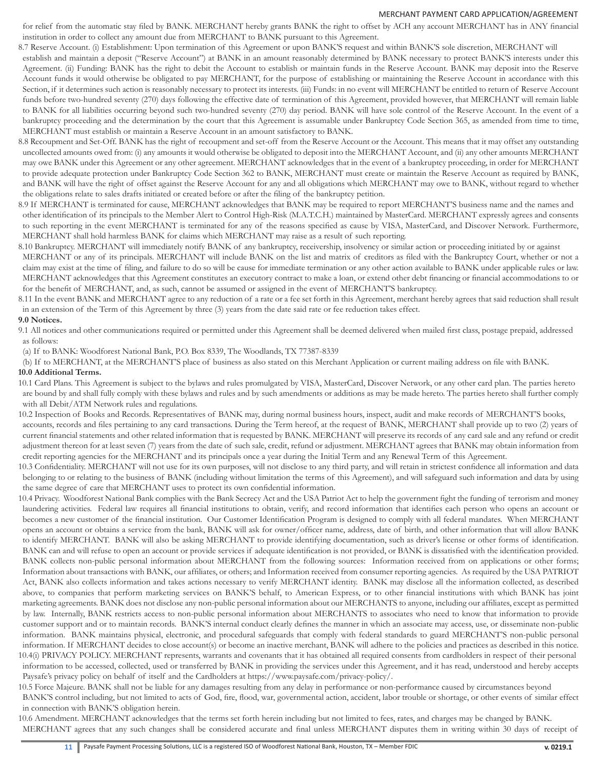for relief from the automatic stay filed by BANK. MERCHANT hereby grants BANK the right to offset by ACH any account MERCHANT has in ANY financial institution in order to collect any amount due from MERCHANT to BANK pursuant to this Agreement.

- 8.7 Reserve Account. (i) Establishment: Upon termination of this Agreement or upon BANK'S request and within BANK'S sole discretion, MERCHANT will establish and maintain a deposit ("Reserve Account") at BANK in an amount reasonably determined by BANK necessary to protect BANK'S interests under this Agreement. (ii) Funding: BANK has the right to debit the Account to establish or maintain funds in the Reserve Account. BANK may deposit into the Reserve Account funds it would otherwise be obligated to pay MERCHANT, for the purpose of establishing or maintaining the Reserve Account in accordance with this Section, if it determines such action is reasonably necessary to protect its interests. (iii) Funds: in no event will MERCHANT be entitled to return of Reserve Account funds before two-hundred seventy (270) days following the effective date of termination of this Agreement, provided however, that MERCHANT will remain liable to BANK for all liabilities occurring beyond such two-hundred seventy (270) day period. BANK will have sole control of the Reserve Account. In the event of a bankruptcy proceeding and the determination by the court that this Agreement is assumable under Bankruptcy Code Section 365, as amended from time to time, MERCHANT must establish or maintain a Reserve Account in an amount satisfactory to BANK.
- 8.8 Recoupment and Set-Off. BANK has the right of recoupment and set-off from the Reserve Account or the Account. This means that it may offset any outstanding uncollected amounts owed from: (i) any amounts it would otherwise be obligated to deposit into the MERCHANT Account, and (ii) any other amounts MERCHANT may owe BANK under this Agreement or any other agreement. MERCHANT acknowledges that in the event of a bankruptcy proceeding, in order for MERCHANT to provide adequate protection under Bankruptcy Code Section 362 to BANK, MERCHANT must create or maintain the Reserve Account as required by BANK, and BANK will have the right of offset against the Reserve Account for any and all obligations which MERCHANT may owe to BANK, without regard to whether the obligations relate to sales drafts initiated or created before or after the filing of the bankruptcy petition.
- 8.9 If MERCHANT is terminated for cause, MERCHANT acknowledges that BANK may be required to report MERCHANT'S business name and the names and other identification of its principals to the Member Alert to Control High-Risk (M.A.T.C.H.) maintained by MasterCard. MERCHANT expressly agrees and consents to such reporting in the event MERCHANT is terminated for any of the reasons specified as cause by VISA, MasterCard, and Discover Network. Furthermore, MERCHANT shall hold harmless BANK for claims which MERCHANT may raise as a result of such reporting.
- 8.10 Bankruptcy. MERCHANT will immediately notify BANK of any bankruptcy, receivership, insolvency or similar action or proceeding initiated by or against MERCHANT or any of its principals. MERCHANT will include BANK on the list and matrix of creditors as filed with the Bankruptcy Court, whether or not a claim may exist at the time of filing, and failure to do so will be cause for immediate termination or any other action available to BANK under applicable rules or law. MERCHANT acknowledges that this Agreement constitutes an executory contract to make a loan, or extend other debt financing or financial accommodations to or for the benefit of MERCHANT, and, as such, cannot be assumed or assigned in the event of MERCHANT'S bankruptcy.
- 8.11 In the event BANK and MERCHANT agree to any reduction of a rate or a fee set forth in this Agreement, merchant hereby agrees that said reduction shall result in an extension of the Term of this Agreement by three (3) years from the date said rate or fee reduction takes effect.

## **9.0 Notices.**

- 9.1 All notices and other communications required or permitted under this Agreement shall be deemed delivered when mailed first class, postage prepaid, addressed as follows:
- (a) If to BANK: Woodforest National Bank, P.O. Box 8339, The Woodlands, TX 77387-8339
- (b) If to MERCHANT, at the MERCHANT'S place of business as also stated on this Merchant Application or current mailing address on file with BANK. **10.0 Additional Terms.**
- 10.1 Card Plans. This Agreement is subject to the bylaws and rules promulgated by VISA, MasterCard, Discover Network, or any other card plan. The parties hereto are bound by and shall fully comply with these bylaws and rules and by such amendments or additions as may be made hereto. The parties hereto shall further comply with all Debit/ATM Network rules and regulations.
- 10.2 Inspection of Books and Records. Representatives of BANK may, during normal business hours, inspect, audit and make records of MERCHANT'S books, accounts, records and files pertaining to any card transactions. During the Term hereof, at the request of BANK, MERCHANT shall provide up to two (2) years of current financial statements and other related information that is requested by BANK. MERCHANT will preserve its records of any card sale and any refund or credit adjustment thereon for at least seven (7) years from the date of such sale, credit, refund or adjustment. MERCHANT agrees that BANK may obtain information from credit reporting agencies for the MERCHANT and its principals once a year during the Initial Term and any Renewal Term of this Agreement.
- 10.3 Confidentiality. MERCHANT will not use for its own purposes, will not disclose to any third party, and will retain in strictest confidence all information and data belonging to or relating to the business of BANK (including without limitation the terms of this Agreement), and will safeguard such information and data by using the same degree of care that MERCHANT uses to protect its own confidential information.
- 10.4 Privacy. Woodforest National Bank complies with the Bank Secrecy Act and the USA Patriot Act to help the government fight the funding of terrorism and money laundering activities. Federal law requires all financial institutions to obtain, verify, and record information that identifies each person who opens an account or becomes a new customer of the financial institution. Our Customer Identification Program is designed to comply with all federal mandates. When MERCHANT opens an account or obtains a service from the bank, BANK will ask for owner/officer name, address, date of birth, and other information that will allow BANK to identify MERCHANT. BANK will also be asking MERCHANT to provide identifying documentation, such as driver's license or other forms of identification. BANK can and will refuse to open an account or provide services if adequate identification is not provided, or BANK is dissatisfied with the identification provided. BANK collects non-public personal information about MERCHANT from the following sources: Information received from on applications or other forms; Information about transactions with BANK, our affiliates, or others; and Information received from consumer reporting agencies. As required by the USA PATRIOT Act, BANK also collects information and takes actions necessary to verify MERCHANT identity. BANK may disclose all the information collected, as described above, to companies that perform marketing services on BANK'S behalf, to American Express, or to other financial institutions with which BANK has joint marketing agreements. BANK does not disclose any non-public personal information about our MERCHANTS to anyone, including our affiliates, except as permitted by law. Internally, BANK restricts access to non-public personal information about MERCHANTS to associates who need to know that information to provide customer support and or to maintain records. BANK'S internal conduct clearly defines the manner in which an associate may access, use, or disseminate non-public information. BANK maintains physical, electronic, and procedural safeguards that comply with federal standards to guard MERCHANT'S non-public personal information. If MERCHANT decides to close account(s) or become an inactive merchant, BANK will adhere to the policies and practices as described in this notice. 10.4(i) PRIVACY POLICY. MERCHANT represents, warrants and covenants that it has obtained all required consents from cardholders in respect of their personal information to be accessed, collected, used or transferred by BANK in providing the services under this Agreement, and it has read, understood and hereby accepts Paysafe's privacy policy on behalf of itself and the Cardholders at https://www.paysafe.com/privacy-policy/.

10.5 Force Majeure. BANK shall not be liable for any damages resulting from any delay in performance or non-performance caused by circumstances beyond BANK'S control including, but not limited to acts of God, fire, flood, war, governmental action, accident, labor trouble or shortage, or other events of similar effect in connection with BANK'S obligation herein.

10.6 Amendment. MERCHANT acknowledges that the terms set forth herein including but not limited to fees, rates, and charges may be changed by BANK. MERCHANT agrees that any such changes shall be considered accurate and final unless MERCHANT disputes them in writing within 30 days of receipt of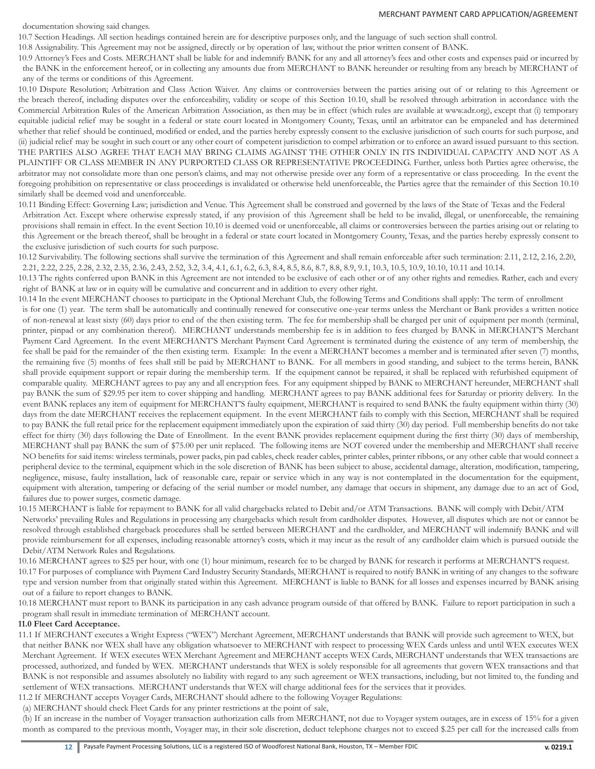#### documentation showing said changes.

#### MERCHANT PAYMENT CARD APPLICATION/AGREEMENT

10.7 Section Headings. All section headings contained herein are for descriptive purposes only, and the language of such section shall control.

10.8 Assignability. This Agreement may not be assigned, directly or by operation of law, without the prior written consent of BANK.

10.9 Attorney's Fees and Costs. MERCHANT shall be liable for and indemnify BANK for any and all attorney's fees and other costs and expenses paid or incurred by the BANK in the enforcement hereof, or in collecting any amounts due from MERCHANT to BANK hereunder or resulting from any breach by MERCHANT of any of the terms or conditions of this Agreement.

10.10 Dispute Resolution; Arbitration and Class Action Waiver. Any claims or controversies between the parties arising out of or relating to this Agreement or the breach thereof, including disputes over the enforceability, validity or scope of this Section 10.10, shall be resolved through arbitration in accordance with the Commercial Arbitration Rules of the American Arbitration Association, as then may be in effect (which rules are available at www.adr.org), except that (i) temporary equitable judicial relief may be sought in a federal or state court located in Montgomery County, Texas, until an arbitrator can be empaneled and has determined whether that relief should be continued, modified or ended, and the parties hereby expressly consent to the exclusive jurisdiction of such courts for such purpose, and (ii) judicial relief may be sought in such court or any other court of competent jurisdiction to compel arbitration or to enforce an award issued pursuant to this section. THE PARTIES ALSO AGREE THAT EACH MAY BRING CLAIMS AGAINST THE OTHER ONLY IN ITS INDIVIDUAL CAPACITY AND NOT AS A PLAINTIFF OR CLASS MEMBER IN ANY PURPORTED CLASS OR REPRESENTATIVE PROCEEDING. Further, unless both Parties agree otherwise, the arbitrator may not consolidate more than one person's claims, and may not otherwise preside over any form of a representative or class proceeding. In the event the foregoing prohibition on representative or class proceedings is invalidated or otherwise held unenforceable, the Parties agree that the remainder of this Section 10.10 similarly shall be deemed void and unenforceable.

10.11 Binding Effect: Governing Law; jurisdiction and Venue. This Agreement shall be construed and governed by the laws of the State of Texas and the Federal Arbitration Act. Except where otherwise expressly stated, if any provision of this Agreement shall be held to be invalid, illegal, or unenforceable, the remaining provisions shall remain in effect. In the event Section 10.10 is deemed void or unenforceable, all claims or controversies between the parties arising out or relating to this Agreement or the breach thereof, shall be brought in a federal or state court located in Montgomery County, Texas, and the parties hereby expressly consent to the exclusive jurisdiction of such courts for such purpose.

10.12 Survivability. The following sections shall survive the termination of this Agreement and shall remain enforceable after such termination: 2.11, 2.12, 2.16, 2.20, 2.21, 2.22, 2.25, 2.28, 2.32, 2.35, 2.36, 2.43, 2.52, 3.2, 3.4, 4.1, 6.1, 6.2, 6.3, 8.4, 8.5, 8.6, 8.7, 8.8, 8.9, 9.1, 10.3, 10.5, 10.9, 10.10, 10.11 and 10.14.

10.13 The rights conferred upon BANK in this Agreement are not intended to be exclusive of each other or of any other rights and remedies. Rather, each and every right of BANK at law or in equity will be cumulative and concurrent and in addition to every other right.

10.14 In the event MERCHANT chooses to participate in the Optional Merchant Club, the following Terms and Conditions shall apply: The term of enrollment is for one (1) year. The term shall be automatically and continually renewed for consecutive one-year terms unless the Merchant or Bank provides a written notice of non-renewal at least sixty (60) days prior to end of the then existing term. The fee for membership shall be charged per unit of equipment per month (terminal, printer, pinpad or any combination thereof). MERCHANT understands membership fee is in addition to fees charged by BANK in MERCHANT'S Merchant Payment Card Agreement. In the event MERCHANT'S Merchant Payment Card Agreement is terminated during the existence of any term of membership, the fee shall be paid for the remainder of the then existing term. Example: In the event a MERCHANT becomes a member and is terminated after seven (7) months, the remaining five (5) months of fees shall still be paid by MERCHANT to BANK. For all members in good standing, and subject to the terms herein, BANK shall provide equipment support or repair during the membership term. If the equipment cannot be repaired, it shall be replaced with refurbished equipment of comparable quality. MERCHANT agrees to pay any and all encryption fees. For any equipment shipped by BANK to MERCHANT hereunder, MERCHANT shall pay BANK the sum of \$29.95 per item to cover shipping and handling. MERCHANT agrees to pay BANK additional fees for Saturday or priority delivery. In the event BANK replaces any item of equipment for MERCHANT'S faulty equipment, MERCHANT is required to send BANK the faulty equipment within thirty (30) days from the date MERCHANT receives the replacement equipment. In the event MERCHANT fails to comply with this Section, MERCHANT shall be required to pay BANK the full retail price for the replacement equipment immediately upon the expiration of said thirty (30) day period. Full membership benefits do not take effect for thirty (30) days following the Date of Enrollment. In the event BANK provides replacement equipment during the first thirty (30) days of membership, MERCHANT shall pay BANK the sum of \$75.00 per unit replaced. The following items are NOT covered under the membership and MERCHANT shall receive NO benefits for said items: wireless terminals, power packs, pin pad cables, check reader cables, printer cables, printer ribbons, or any other cable that would connect a peripheral device to the terminal, equipment which in the sole discretion of BANK has been subject to abuse, accidental damage, alteration, modification, tampering, negligence, misuse, faulty installation, lack of reasonable care, repair or service which in any way is not contemplated in the documentation for the equipment, equipment with alteration, tampering or defacing of the serial number or model number, any damage that occurs in shipment, any damage due to an act of God, failures due to power surges, cosmetic damage.

10.15 MERCHANT is liable for repayment to BANK for all valid chargebacks related to Debit and/or ATM Transactions. BANK will comply with Debit/ATM Networks' prevailing Rules and Regulations in processing any chargebacks which result from cardholder disputes. However, all disputes which are not or cannot be resolved through established chargeback procedures shall be settled between MERCHANT and the cardholder, and MERCHANT will indemnify BANK and will provide reimbursement for all expenses, including reasonable attorney's costs, which it may incur as the result of any cardholder claim which is pursued outside the Debit/ATM Network Rules and Regulations.

10.16 MERCHANT agrees to \$25 per hour, with one (1) hour minimum, research fee to be charged by BANK for research it performs at MERCHANT'S request.

10.17 For purposes of compliance with Payment Card Industry Security Standards, MERCHANT is required to notify BANK in writing of any changes to the software type and version number from that originally stated within this Agreement. MERCHANT is liable to BANK for all losses and expenses incurred by BANK arising out of a failure to report changes to BANK.

10.18 MERCHANT must report to BANK its participation in any cash advance program outside of that offered by BANK. Failure to report participation in such a program shall result in immediate termination of MERCHANT account.

## **11.0 Fleet Card Acceptance.**

11.1 If MERCHANT executes a Wright Express ("WEX") Merchant Agreement, MERCHANT understands that BANK will provide such agreement to WEX, but that neither BANK nor WEX shall have any obligation whatsoever to MERCHANT with respect to processing WEX Cards unless and until WEX executes WEX Merchant Agreement. If WEX executes WEX Merchant Agreement and MERCHANT accepts WEX Cards, MERCHANT understands that WEX transactions are processed, authorized, and funded by WEX. MERCHANT understands that WEX is solely responsible for all agreements that govern WEX transactions and that BANK is not responsible and assumes absolutely no liability with regard to any such agreement or WEX transactions, including, but not limited to, the funding and settlement of WEX transactions. MERCHANT understands that WEX will charge additional fees for the services that it provides. 11.2 If MERCHANT accepts Voyager Cards, MERCHANT should adhere to the following Voyager Regulations:

(a) MERCHANT should check Fleet Cards for any printer restrictions at the point of sale,

(b) If an increase in the number of Voyager transaction authorization calls from MERCHANT, not due to Voyager system outages, are in excess of 15% for a given month as compared to the previous month, Voyager may, in their sole discretion, deduct telephone charges not to exceed \$.25 per call for the increased calls from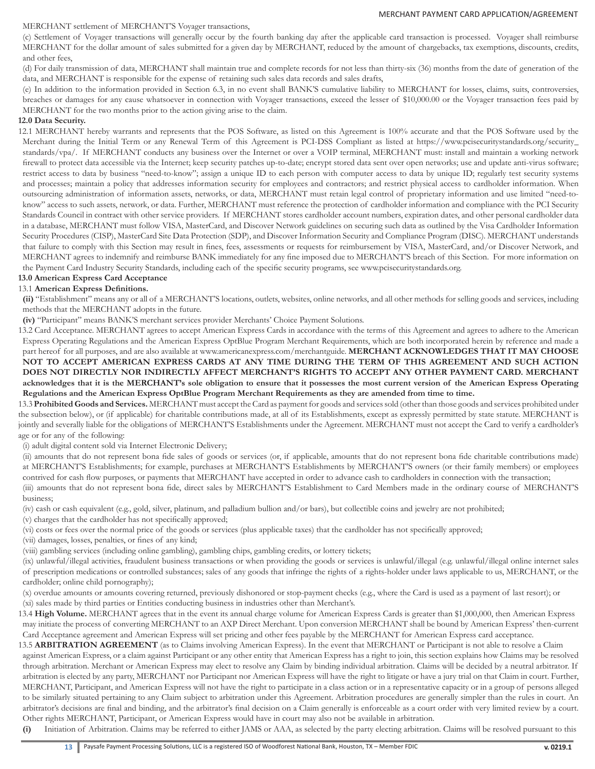## MERCHANT settlement of MERCHANT'S Voyager transactions,

(c) Settlement of Voyager transactions will generally occur by the fourth banking day after the applicable card transaction is processed. Voyager shall reimburse MERCHANT for the dollar amount of sales submitted for a given day by MERCHANT, reduced by the amount of chargebacks, tax exemptions, discounts, credits, and other fees,

(d) For daily transmission of data, MERCHANT shall maintain true and complete records for not less than thirty-six (36) months from the date of generation of the data, and MERCHANT is responsible for the expense of retaining such sales data records and sales drafts,

(e) In addition to the information provided in Section 6.3, in no event shall BANK'S cumulative liability to MERCHANT for losses, claims, suits, controversies, breaches or damages for any cause whatsoever in connection with Voyager transactions, exceed the lesser of \$10,000.00 or the Voyager transaction fees paid by MERCHANT for the two months prior to the action giving arise to the claim.

## **12.0 Data Security.**

12.1 MERCHANT hereby warrants and represents that the POS Software, as listed on this Agreement is 100% accurate and that the POS Software used by the Merchant during the Initial Term or any Renewal Term of this Agreement is PCI-DSS Compliant as listed at https://www.pcisecuritystandards.org/security\_ standards/vpa/. If MERCHANT conducts any business over the Internet or over a VOIP terminal, MERCHANT must: install and maintain a working network firewall to protect data accessible via the Internet; keep security patches up-to-date; encrypt stored data sent over open networks; use and update anti-virus software; restrict access to data by business "need-to-know"; assign a unique ID to each person with computer access to data by unique ID; regularly test security systems and processes; maintain a policy that addresses information security for employees and contractors; and restrict physical access to cardholder information. When outsourcing administration of information assets, networks, or data, MERCHANT must retain legal control of proprietary information and use limited "need-toknow" access to such assets, network, or data. Further, MERCHANT must reference the protection of cardholder information and compliance with the PCI Security Standards Council in contract with other service providers. If MERCHANT stores cardholder account numbers, expiration dates, and other personal cardholder data in a database, MERCHANT must follow VISA, MasterCard, and Discover Network guidelines on securing such data as outlined by the Visa Cardholder Information Security Procedures (CISP), MasterCard Site Data Protection (SDP), and Discover Information Security and Compliance Program (DISC). MERCHANT understands that failure to comply with this Section may result in fines, fees, assessments or requests for reimbursement by VISA, MasterCard, and/or Discover Network, and MERCHANT agrees to indemnify and reimburse BANK immediately for any fine imposed due to MERCHANT'S breach of this Section. For more information on the Payment Card Industry Security Standards, including each of the specific security programs, see www.pcisecuritystandards.org.

# **13.0 American Express Card Acceptance**

## 13.1 **American Express Definitions.**

**(ii)** "Establishment" means any or all of a MERCHANT'S locations, outlets, websites, online networks, and all other methods for selling goods and services, including methods that the MERCHANT adopts in the future.

**(iv)** "Participant" means BANK'S merchant services provider Merchants' Choice Payment Solutions.

13.2 Card Acceptance. MERCHANT agrees to accept American Express Cards in accordance with the terms of this Agreement and agrees to adhere to the American Express Operating Regulations and the American Express OptBlue Program Merchant Requirements, which are both incorporated herein by reference and made a part hereof for all purposes, and are also available at www.americanexpress.com/merchantguide. **MERCHANT ACKNOWLEDGES THAT IT MAY CHOOSE NOT TO ACCEPT AMERICAN EXPRESS CARDS AT ANY TIME DURING THE TERM OF THIS AGREEMENT AND SUCH ACTION DOES NOT DIRECTLY NOR INDIRECTLY AFFECT MERCHANT'S RIGHTS TO ACCEPT ANY OTHER PAYMENT CARD. MERCHANT acknowledges that it is the MERCHANT's sole obligation to ensure that it possesses the most current version of the American Express Operating Regulations and the American Express OptBlue Program Merchant Requirements as they are amended from time to time.**

13.3 **Prohibited Goods and Services.** MERCHANT must accept the Card as payment for goods and services sold (other than those goods and services prohibited under the subsection below), or (if applicable) for charitable contributions made, at all of its Establishments, except as expressly permitted by state statute. MERCHANT is jointly and severally liable for the obligations of MERCHANT'S Establishments under the Agreement. MERCHANT must not accept the Card to verify a cardholder's age or for any of the following:

(i) adult digital content sold via Internet Electronic Delivery;

(ii) amounts that do not represent bona fide sales of goods or services (or, if applicable, amounts that do not represent bona fide charitable contributions made) at MERCHANT'S Establishments; for example, purchases at MERCHANT'S Establishments by MERCHANT'S owners (or their family members) or employees contrived for cash flow purposes, or payments that MERCHANT have accepted in order to advance cash to cardholders in connection with the transaction;

(iii) amounts that do not represent bona fide, direct sales by MERCHANT'S Establishment to Card Members made in the ordinary course of MERCHANT'S business;

(iv) cash or cash equivalent (e.g., gold, silver, platinum, and palladium bullion and/or bars), but collectible coins and jewelry are not prohibited;

(v) charges that the cardholder has not specifically approved;

(vi) costs or fees over the normal price of the goods or services (plus applicable taxes) that the cardholder has not specifically approved;

(vii) damages, losses, penalties, or fines of any kind;

(viii) gambling services (including online gambling), gambling chips, gambling credits, or lottery tickets;

(ix) unlawful/illegal activities, fraudulent business transactions or when providing the goods or services is unlawful/illegal (e.g. unlawful/illegal online internet sales of prescription medications or controlled substances; sales of any goods that infringe the rights of a rights-holder under laws applicable to us, MERCHANT, or the cardholder; online child pornography);

(x) overdue amounts or amounts covering returned, previously dishonored or stop-payment checks (e.g., where the Card is used as a payment of last resort); or

(xi) sales made by third parties or Entities conducting business in industries other than Merchant's.

13.4 **High Volume.** MERCHANT agrees that in the event its annual charge volume for American Express Cards is greater than \$1,000,000, then American Express may initiate the process of converting MERCHANT to an AXP Direct Merchant. Upon conversion MERCHANT shall be bound by American Express' then-current Card Acceptance agreement and American Express will set pricing and other fees payable by the MERCHANT for American Express card acceptance.

13.5 ARBITRATION AGREEMENT (as to Claims involving American Express). In the event that MERCHANT or Participant is not able to resolve a Claim against American Express, or a claim against Participant or any other entity that American Express has a right to join, this section explains how Claims may be resolved through arbitration. Merchant or American Express may elect to resolve any Claim by binding individual arbitration. Claims will be decided by a neutral arbitrator. If arbitration is elected by any party, MERCHANT nor Participant nor American Express will have the right to litigate or have a jury trial on that Claim in court. Further, MERCHANT, Participant, and American Express will not have the right to participate in a class action or in a representative capacity or in a group of persons alleged to be similarly situated pertaining to any Claim subject to arbitration under this Agreement. Arbitration procedures are generally simpler than the rules in court. An arbitrator's decisions are final and binding, and the arbitrator's final decision on a Claim generally is enforceable as a court order with very limited review by a court. Other rights MERCHANT, Participant, or American Express would have in court may also not be available in arbitration.

**(i)** Initiation of Arbitration. Claims may be referred to either JAMS or AAA, as selected by the party electing arbitration. Claims will be resolved pursuant to this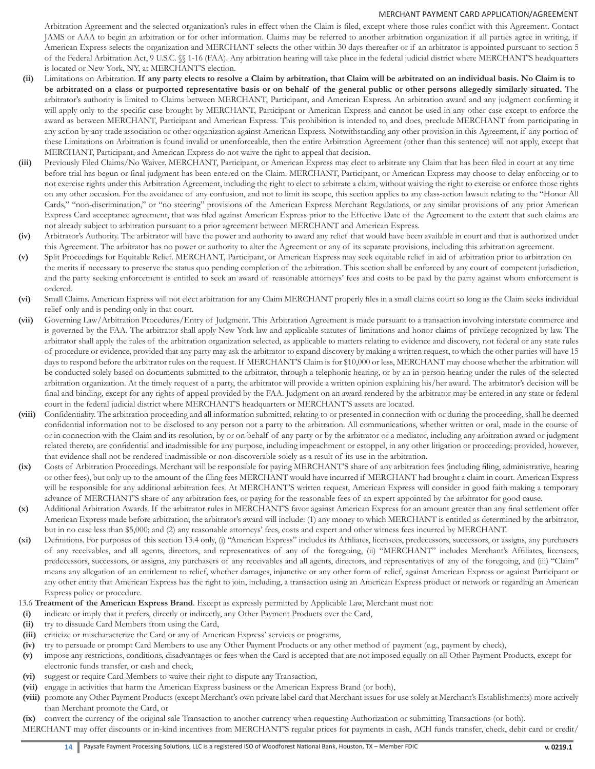Arbitration Agreement and the selected organization's rules in effect when the Claim is filed, except where those rules conflict with this Agreement. Contact JAMS or AAA to begin an arbitration or for other information. Claims may be referred to another arbitration organization if all parties agree in writing, if American Express selects the organization and MERCHANT selects the other within 30 days thereafter or if an arbitrator is appointed pursuant to section 5 of the Federal Arbitration Act, 9 U.S.C. §§ 1-16 (FAA). Any arbitration hearing will take place in the federal judicial district where MERCHANT'S headquarters is located or New York, NY, at MERCHANT'S election.

- **(ii)** Limitations on Arbitration. **If any party elects to resolve a Claim by arbitration, that Claim will be arbitrated on an individual basis. No Claim is to be arbitrated on a class or purported representative basis or on behalf of the general public or other persons allegedly similarly situated.** The arbitrator's authority is limited to Claims between MERCHANT, Participant, and American Express. An arbitration award and any judgment confirming it will apply only to the specific case brought by MERCHANT, Participant or American Express and cannot be used in any other case except to enforce the award as between MERCHANT, Participant and American Express. This prohibition is intended to, and does, preclude MERCHANT from participating in any action by any trade association or other organization against American Express. Notwithstanding any other provision in this Agreement, if any portion of these Limitations on Arbitration is found invalid or unenforceable, then the entire Arbitration Agreement (other than this sentence) will not apply, except that MERCHANT, Participant, and American Express do not waive the right to appeal that decision.
- **(iii)** Previously Filed Claims/No Waiver. MERCHANT, Participant, or American Express may elect to arbitrate any Claim that has been filed in court at any time before trial has begun or final judgment has been entered on the Claim. MERCHANT, Participant, or American Express may choose to delay enforcing or to not exercise rights under this Arbitration Agreement, including the right to elect to arbitrate a claim, without waiving the right to exercise or enforce those rights on any other occasion. For the avoidance of any confusion, and not to limit its scope, this section applies to any class-action lawsuit relating to the "Honor All Cards," "non-discrimination," or "no steering" provisions of the American Express Merchant Regulations, or any similar provisions of any prior American Express Card acceptance agreement, that was filed against American Express prior to the Effective Date of the Agreement to the extent that such claims are not already subject to arbitration pursuant to a prior agreement between MERCHANT and American Express.
- **(iv)** Arbitrator's Authority. The arbitrator will have the power and authority to award any relief that would have been available in court and that is authorized under this Agreement. The arbitrator has no power or authority to alter the Agreement or any of its separate provisions, including this arbitration agreement.
- **(v)** Split Proceedings for Equitable Relief. MERCHANT, Participant, or American Express may seek equitable relief in aid of arbitration prior to arbitration on the merits if necessary to preserve the status quo pending completion of the arbitration. This section shall be enforced by any court of competent jurisdiction, and the party seeking enforcement is entitled to seek an award of reasonable attorneys' fees and costs to be paid by the party against whom enforcement is ordered.
- **(vi)** Small Claims. American Express will not elect arbitration for any Claim MERCHANT properly files in a small claims court so long as the Claim seeks individual relief only and is pending only in that court.
- **(vii)** Governing Law/Arbitration Procedures/Entry of Judgment. This Arbitration Agreement is made pursuant to a transaction involving interstate commerce and is governed by the FAA. The arbitrator shall apply New York law and applicable statutes of limitations and honor claims of privilege recognized by law. The arbitrator shall apply the rules of the arbitration organization selected, as applicable to matters relating to evidence and discovery, not federal or any state rules of procedure or evidence, provided that any party may ask the arbitrator to expand discovery by making a written request, to which the other parties will have 15 days to respond before the arbitrator rules on the request. If MERCHANT'S Claim is for \$10,000 or less, MERCHANT may choose whether the arbitration will be conducted solely based on documents submitted to the arbitrator, through a telephonic hearing, or by an in-person hearing under the rules of the selected arbitration organization. At the timely request of a party, the arbitrator will provide a written opinion explaining his/her award. The arbitrator's decision will be final and binding, except for any rights of appeal provided by the FAA. Judgment on an award rendered by the arbitrator may be entered in any state or federal court in the federal judicial district where MERCHANT'S headquarters or MERCHANT'S assets are located.
- **(viii)** Confidentiality. The arbitration proceeding and all information submitted, relating to or presented in connection with or during the proceeding, shall be deemed confidential information not to be disclosed to any person not a party to the arbitration. All communications, whether written or oral, made in the course of or in connection with the Claim and its resolution, by or on behalf of any party or by the arbitrator or a mediator, including any arbitration award or judgment related thereto, are confidential and inadmissible for any purpose, including impeachment or estoppel, in any other litigation or proceeding; provided, however, that evidence shall not be rendered inadmissible or non-discoverable solely as a result of its use in the arbitration.
- **(ix)** Costs of Arbitration Proceedings. Merchant will be responsible for paying MERCHANT'S share of any arbitration fees (including filing, administrative, hearing or other fees), but only up to the amount of the filing fees MERCHANT would have incurred if MERCHANT had brought a claim in court. American Express will be responsible for any additional arbitration fees. At MERCHANT'S written request, American Express will consider in good faith making a temporary advance of MERCHANT'S share of any arbitration fees, or paying for the reasonable fees of an expert appointed by the arbitrator for good cause.
- **(x)** Additional Arbitration Awards. If the arbitrator rules in MERCHANT'S favor against American Express for an amount greater than any final settlement offer American Express made before arbitration, the arbitrator's award will include: (1) any money to which MERCHANT is entitled as determined by the arbitrator, but in no case less than \$5,000; and (2) any reasonable attorneys' fees, costs and expert and other witness fees incurred by MERCHANT.
- **(xi)** Definitions. For purposes of this section 13.4 only, (i) "American Express" includes its Affiliates, licensees, predecessors, successors, or assigns, any purchasers of any receivables, and all agents, directors, and representatives of any of the foregoing, (ii) "MERCHANT" includes Merchant's Affiliates, licensees, predecessors, successors, or assigns, any purchasers of any receivables and all agents, directors, and representatives of any of the foregoing, and (iii) "Claim" means any allegation of an entitlement to relief, whether damages, injunctive or any other form of relief, against American Express or against Participant or any other entity that American Express has the right to join, including, a transaction using an American Express product or network or regarding an American Express policy or procedure.

# 13.6 **Treatment of the American Express Brand**. Except as expressly permitted by Applicable Law, Merchant must not:

- **(i)** indicate or imply that it prefers, directly or indirectly, any Other Payment Products over the Card,
- **(ii)** try to dissuade Card Members from using the Card,
- **(iii)** criticize or mischaracterize the Card or any of American Express' services or programs,
- **(iv)** try to persuade or prompt Card Members to use any Other Payment Products or any other method of payment (e.g., payment by check),
- **(v)** impose any restrictions, conditions, disadvantages or fees when the Card is accepted that are not imposed equally on all Other Payment Products, except for electronic funds transfer, or cash and check,
- **(vi)** suggest or require Card Members to waive their right to dispute any Transaction,
- **(vii)** engage in activities that harm the American Express business or the American Express Brand (or both),
- **(viii)** promote any Other Payment Products (except Merchant's own private label card that Merchant issues for use solely at Merchant's Establishments) more actively than Merchant promote the Card, or

**(ix)** convert the currency of the original sale Transaction to another currency when requesting Authorization or submitting Transactions (or both).

MERCHANT may offer discounts or in-kind incentives from MERCHANT'S regular prices for payments in cash, ACH funds transfer, check, debit card or credit/